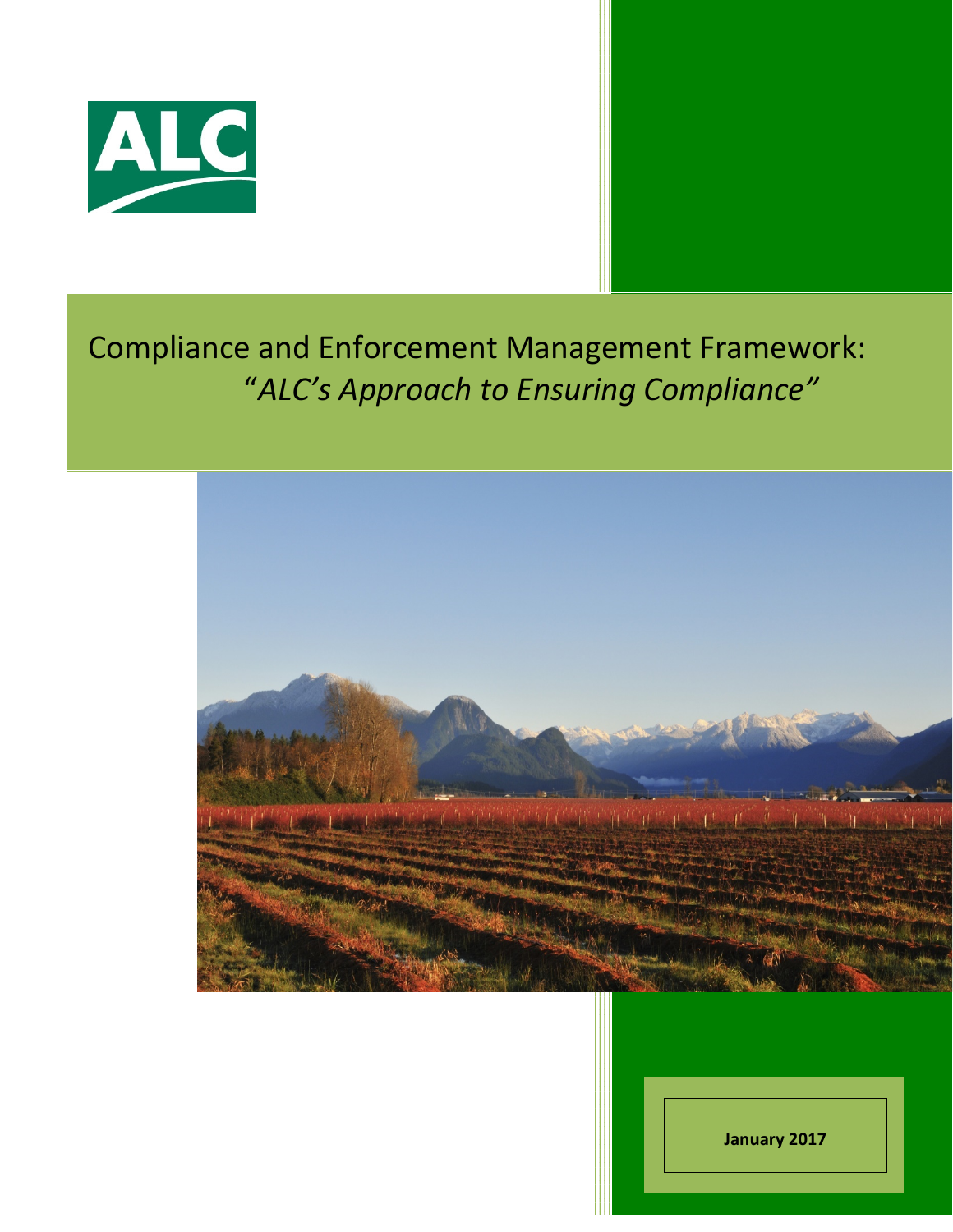

# Compliance and Enforcement Management Framework: "*ALC's Approach to Ensuring Compliance"*



**January 2017**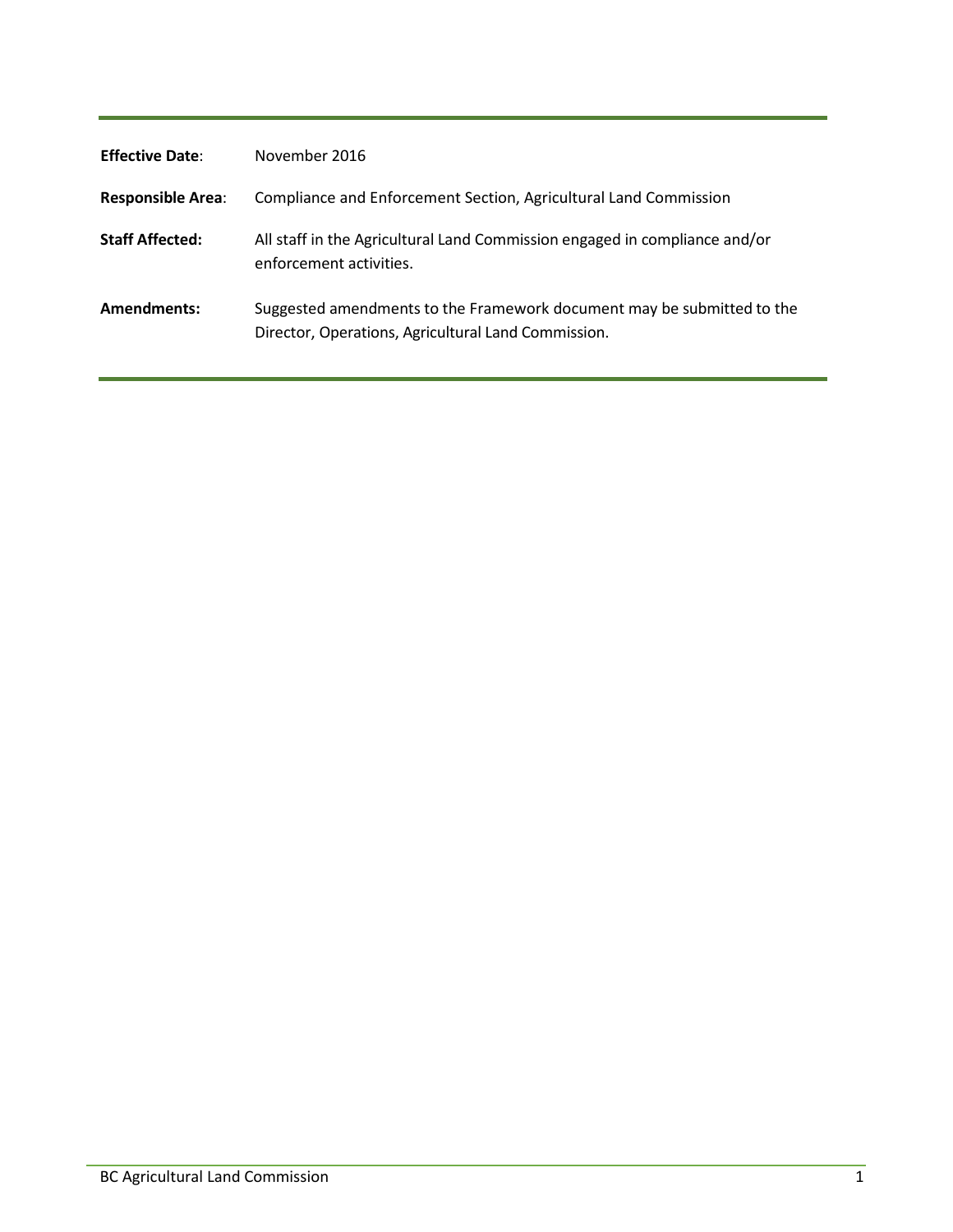| <b>Effective Date:</b>   | November 2016                                                                                                                 |
|--------------------------|-------------------------------------------------------------------------------------------------------------------------------|
| <b>Responsible Area:</b> | Compliance and Enforcement Section, Agricultural Land Commission                                                              |
| <b>Staff Affected:</b>   | All staff in the Agricultural Land Commission engaged in compliance and/or<br>enforcement activities.                         |
| <b>Amendments:</b>       | Suggested amendments to the Framework document may be submitted to the<br>Director, Operations, Agricultural Land Commission. |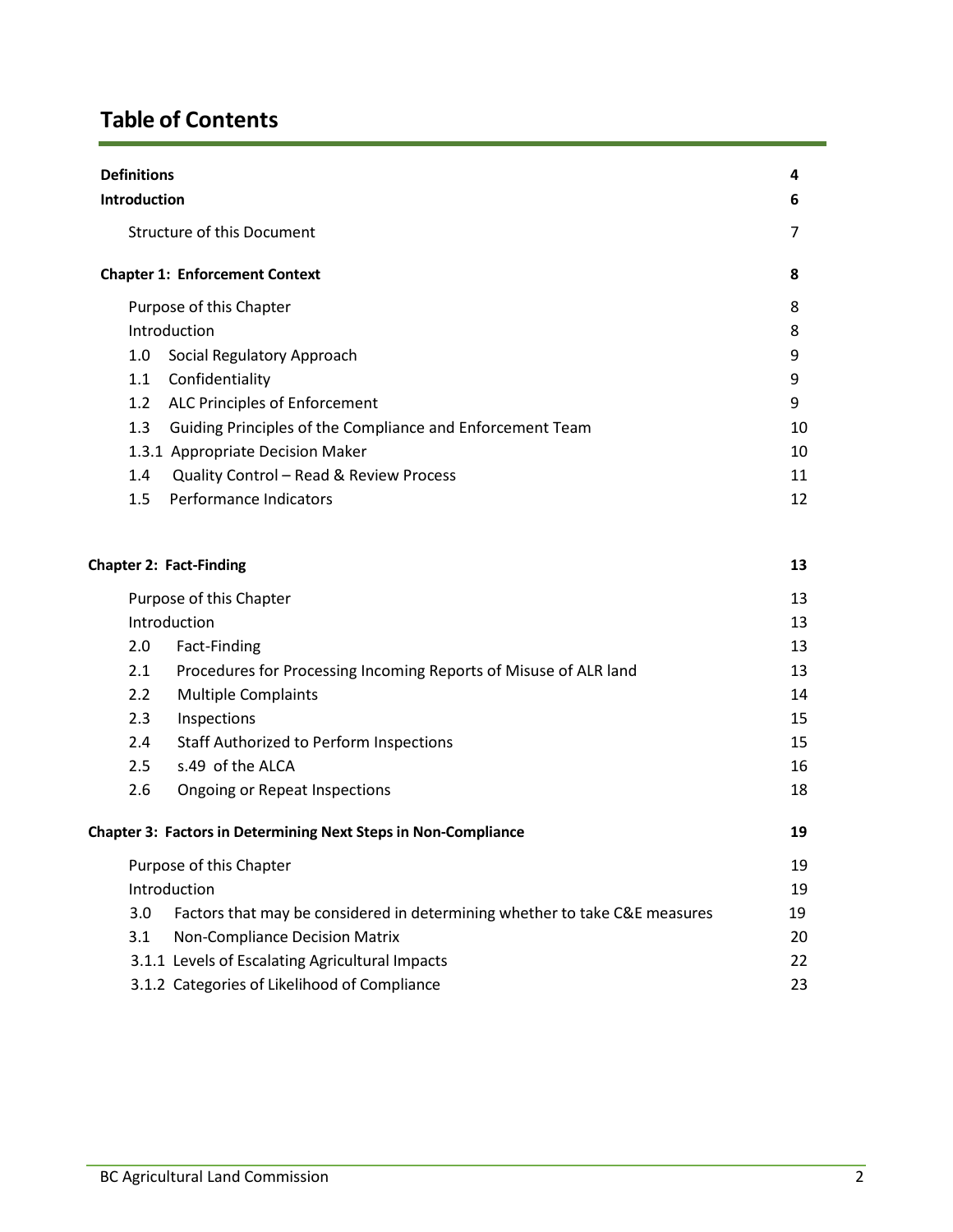## **Table of Contents**

| <b>Definitions</b>                                               | 4  |
|------------------------------------------------------------------|----|
| <b>Introduction</b>                                              | 6  |
| Structure of this Document                                       | 7  |
| <b>Chapter 1: Enforcement Context</b>                            | 8  |
| Purpose of this Chapter                                          | 8  |
| Introduction                                                     | 8  |
| Social Regulatory Approach<br>1.0                                | 9  |
| Confidentiality<br>1.1                                           | 9  |
| ALC Principles of Enforcement<br>1.2                             | 9  |
| Guiding Principles of the Compliance and Enforcement Team<br>1.3 | 10 |
| 1.3.1 Appropriate Decision Maker                                 | 10 |
| Quality Control - Read & Review Process<br>1.4                   | 11 |
| Performance Indicators<br>1.5                                    | 12 |
|                                                                  |    |
| <b>Chapter 2: Fact-Finding</b>                                   | 13 |

|                  | Purpose of this Chapter                                                    | 13 |
|------------------|----------------------------------------------------------------------------|----|
| Introduction     |                                                                            |    |
| 2.0              | Fact-Finding                                                               | 13 |
| 2.1              | Procedures for Processing Incoming Reports of Misuse of ALR land           | 13 |
| $2.2\phantom{0}$ | <b>Multiple Complaints</b>                                                 | 14 |
| 2.3              | Inspections                                                                | 15 |
| 2.4              | <b>Staff Authorized to Perform Inspections</b>                             | 15 |
| 2.5              | s.49 of the ALCA                                                           | 16 |
| 2.6              | Ongoing or Repeat Inspections                                              | 18 |
|                  | <b>Chapter 3: Factors in Determining Next Steps in Non-Compliance</b>      | 19 |
|                  | Purpose of this Chapter                                                    | 19 |
|                  | Introduction                                                               | 19 |
| 3.0              | Factors that may be considered in determining whether to take C&E measures | 19 |
| 3.1              | Non-Compliance Decision Matrix                                             | 20 |
|                  | 3.1.1 Levels of Escalating Agricultural Impacts                            | 22 |
|                  | 3.1.2 Categories of Likelihood of Compliance                               | 23 |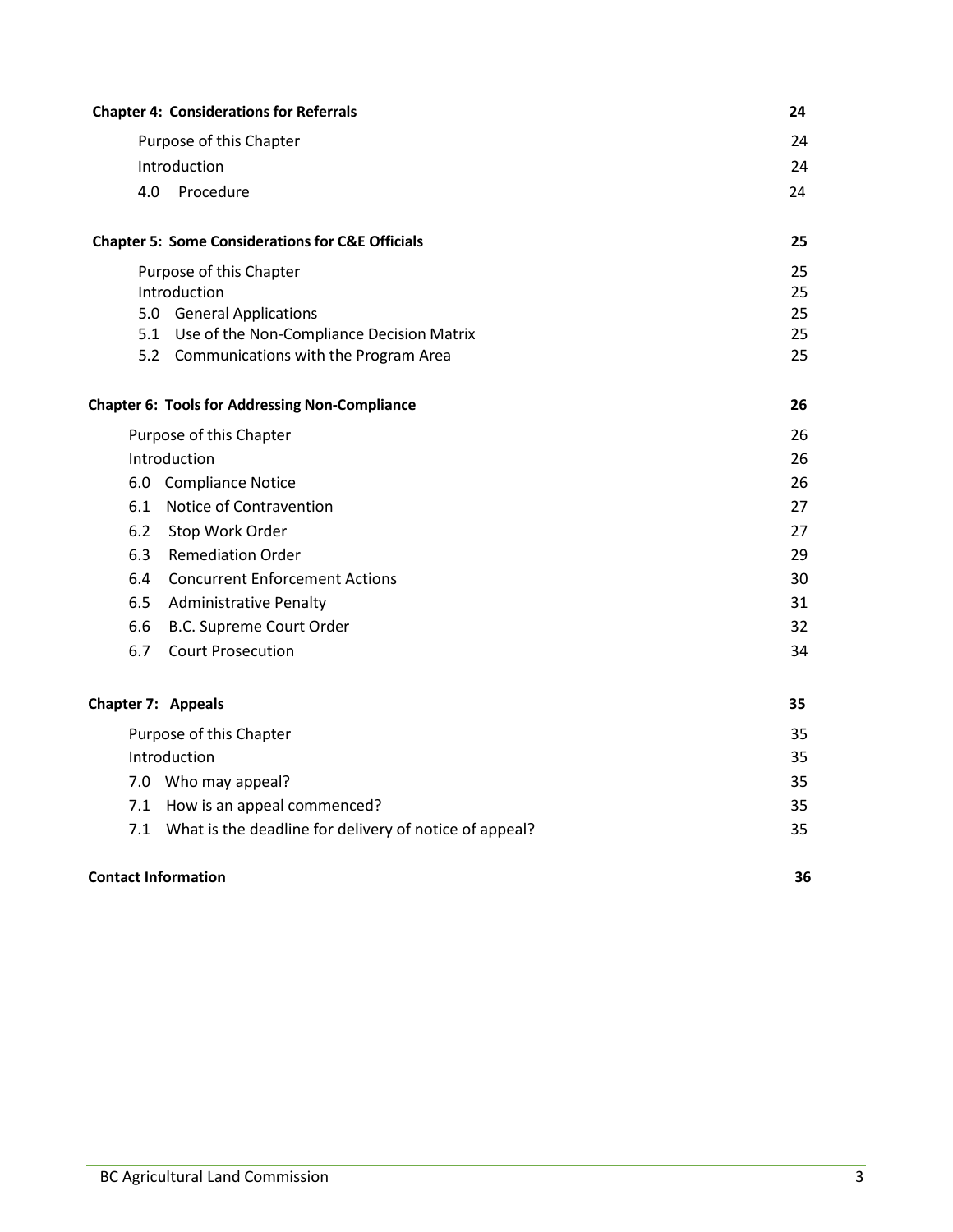| <b>Chapter 4: Considerations for Referrals</b>                | 24 |
|---------------------------------------------------------------|----|
| Purpose of this Chapter                                       | 24 |
| Introduction                                                  | 24 |
| Procedure<br>4.0                                              | 24 |
| <b>Chapter 5: Some Considerations for C&amp;E Officials</b>   | 25 |
| Purpose of this Chapter                                       | 25 |
| Introduction                                                  | 25 |
| 5.0 General Applications                                      | 25 |
| 5.1 Use of the Non-Compliance Decision Matrix                 | 25 |
| 5.2 Communications with the Program Area                      | 25 |
| <b>Chapter 6: Tools for Addressing Non-Compliance</b>         | 26 |
| Purpose of this Chapter                                       | 26 |
| Introduction                                                  | 26 |
| <b>Compliance Notice</b><br>6.0                               | 26 |
| 6.1<br>Notice of Contravention                                | 27 |
| Stop Work Order<br>6.2                                        | 27 |
| <b>Remediation Order</b><br>6.3                               | 29 |
| 6.4<br><b>Concurrent Enforcement Actions</b>                  | 30 |
| 6.5<br><b>Administrative Penalty</b>                          | 31 |
| 6.6<br>B.C. Supreme Court Order                               | 32 |
| <b>Court Prosecution</b><br>6.7                               | 34 |
| Chapter 7: Appeals                                            | 35 |
| Purpose of this Chapter                                       | 35 |
| Introduction                                                  | 35 |
| 7.0 Who may appeal?                                           | 35 |
| How is an appeal commenced?<br>7.1                            | 35 |
| What is the deadline for delivery of notice of appeal?<br>7.1 | 35 |
| <b>Contact Information</b>                                    | 36 |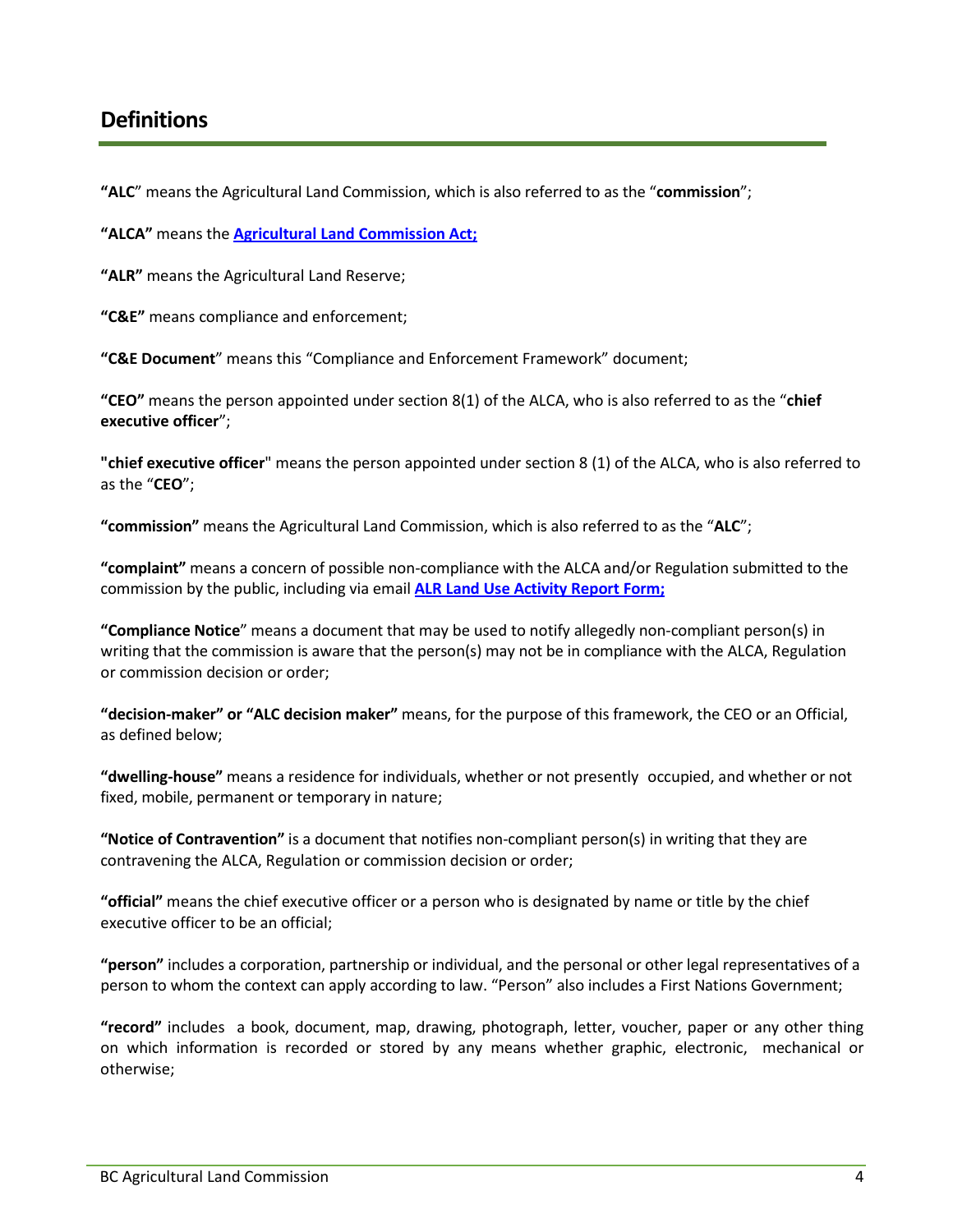## <span id="page-4-0"></span>**Definitions**

**"ALC**" means the Agricultural Land Commission, which is also referred to as the "**commission**";

**"ALCA"** means the **[Agricultural Land Commission Act;](http://www.bclaws.ca/civix/document/id/complete/statreg/02036_01)**

**"ALR"** means the Agricultural Land Reserve;

**"C&E"** means compliance and enforcement;

**"C&E Document**" means this "Compliance and Enforcement Framework" document;

**"CEO"** means the person appointed under section 8(1) of the ALCA, who is also referred to as the "**chief executive officer**";

**"chief executive officer**" means the person appointed under section 8 (1) of the ALCA, who is also referred to as the "**CEO**";

**"commission"** means the Agricultural Land Commission, which is also referred to as the "**ALC**";

**"complaint"** means a concern of possible non-compliance with the ALCA and/or Regulation submitted to the commission by the public, including via email **[ALR Land Use](http://www.alc.gov.bc.ca/assets/alc/assets/legislation-and-regulation/compliance-and-enforcement/unauthorized-use-on-alr-land/c_e_alr_land_use_activity_report_form.pdf) Activity Report Form;**

**"Compliance Notice**" means a document that may be used to notify allegedly non-compliant person(s) in writing that the commission is aware that the person(s) may not be in compliance with the ALCA, Regulation or commission decision or order;

**"decision-maker" or "ALC decision maker"** means, for the purpose of this framework, the CEO or an Official, as defined below;

**"dwelling-house"** means a residence for individuals, whether or not presently occupied, and whether or not fixed, mobile, permanent or temporary in nature;

**"Notice of Contravention"** is a document that notifies non-compliant person(s) in writing that they are contravening the ALCA, Regulation or commission decision or order;

**"official"** means the chief executive officer or a person who is designated by name or title by the chief executive officer to be an official;

**"person"** includes a corporation, partnership or individual, and the personal or other legal representatives of a person to whom the context can apply according to law. "Person" also includes a First Nations Government;

**"record"** includes a book, document, map, drawing, photograph, letter, voucher, paper or any other thing on which information is recorded or stored by any means whether graphic, electronic, mechanical or otherwise;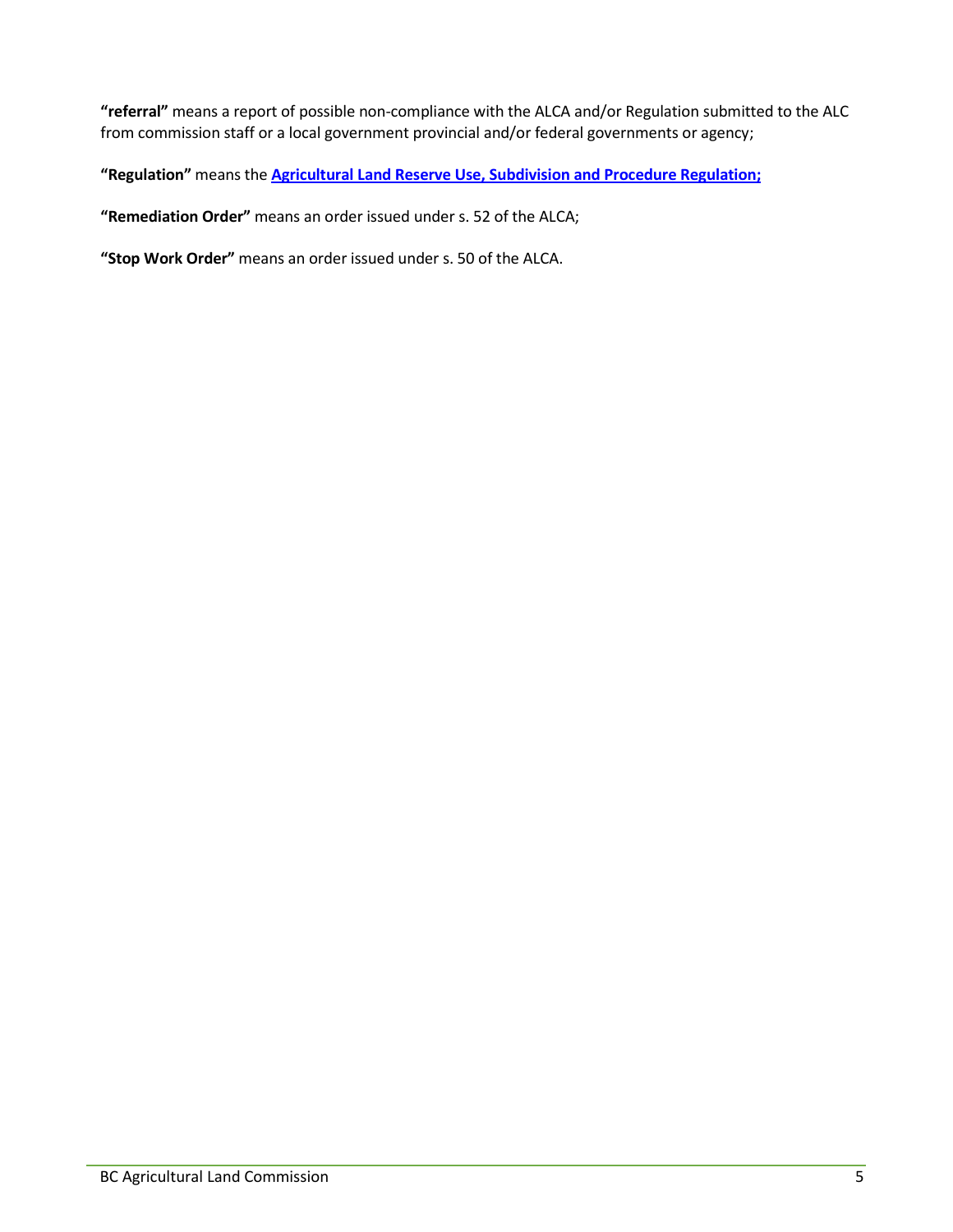**"referral"** means a report of possible non-compliance with the ALCA and/or Regulation submitted to the ALC from commission staff or a local government provincial and/or federal governments or agency;

**"Regulation"** means the **[Agricultural Land Reserve Use, Subdivision and Procedure Regulation;](http://www.bclaws.ca/civix/document/id/complete/statreg/171_2002)**

**"Remediation Order"** means an order issued under s. 52 of the ALCA;

**"Stop Work Order"** means an order issued under s. 50 of the ALCA.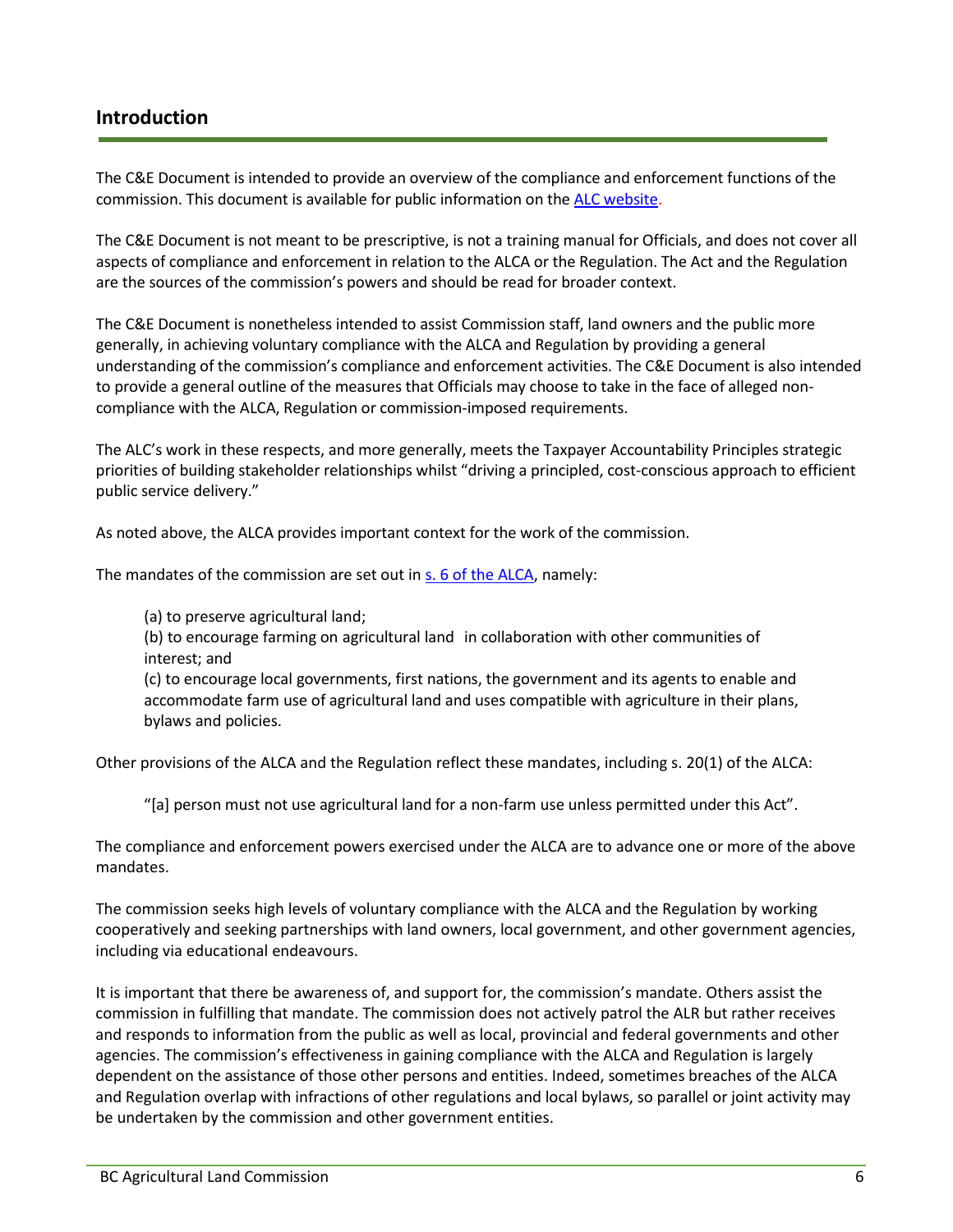## **Introduction**

The C&E Document is intended to provide an overview of the compliance and enforcement functions of the commission. This document is available for public information on the [ALC website.](http://www.alc.gov.bc.ca/alc/content/home)

The C&E Document is not meant to be prescriptive, is not a training manual for Officials, and does not cover all aspects of compliance and enforcement in relation to the ALCA or the Regulation. The Act and the Regulation are the sources of the commission's powers and should be read for broader context.

The C&E Document is nonetheless intended to assist Commission staff, land owners and the public more generally, in achieving voluntary compliance with the ALCA and Regulation by providing a general understanding of the commission's compliance and enforcement activities. The C&E Document is also intended to provide a general outline of the measures that Officials may choose to take in the face of alleged noncompliance with the ALCA, Regulation or commission-imposed requirements.

The ALC's work in these respects, and more generally, meets the Taxpayer Accountability Principles strategic priorities of building stakeholder relationships whilst "driving a principled, cost-conscious approach to efficient public service delivery."

As noted above, the ALCA provides important context for the work of the commission.

The mandates of the commission are set out in [s. 6 of the](http://www.bclaws.ca/civix/document/id/complete/statreg/02036_01#section6) ALCA, namely:

- (a) to preserve agricultural land;
- (b) to encourage farming on agricultural land in collaboration with other communities of interest; and

(c) to encourage local governments, first nations, the government and its agents to enable and accommodate farm use of agricultural land and uses compatible with agriculture in their plans, bylaws and policies.

Other provisions of the ALCA and the Regulation reflect these mandates, includin[g s. 20\(1\) of the ALCA:](http://www.bclaws.ca/civix/document/id/complete/statreg/02036_01#section20)

"[a] person must not use agricultural land for a non-farm use unless permitted under this Act".

The compliance and enforcement powers exercised under the ALCA are to advance one or more of the above mandates.

The commission seeks high levels of voluntary compliance with the ALCA and the Regulation by working cooperatively and seeking partnerships with land owners, local government, and other government agencies, including via educational endeavours.

It is important that there be awareness of, and support for, the commission's mandate. Others assist the commission in fulfilling that mandate. The commission does not actively patrol the ALR but rather receives and responds to information from the public as well as local, provincial and federal governments and other agencies. The commission's effectiveness in gaining compliance with the ALCA and Regulation is largely dependent on the assistance of those other persons and entities. Indeed, sometimes breaches of the ALCA and Regulation overlap with infractions of other regulations and local bylaws, so parallel or joint activity may be undertaken by the commission and other government entities.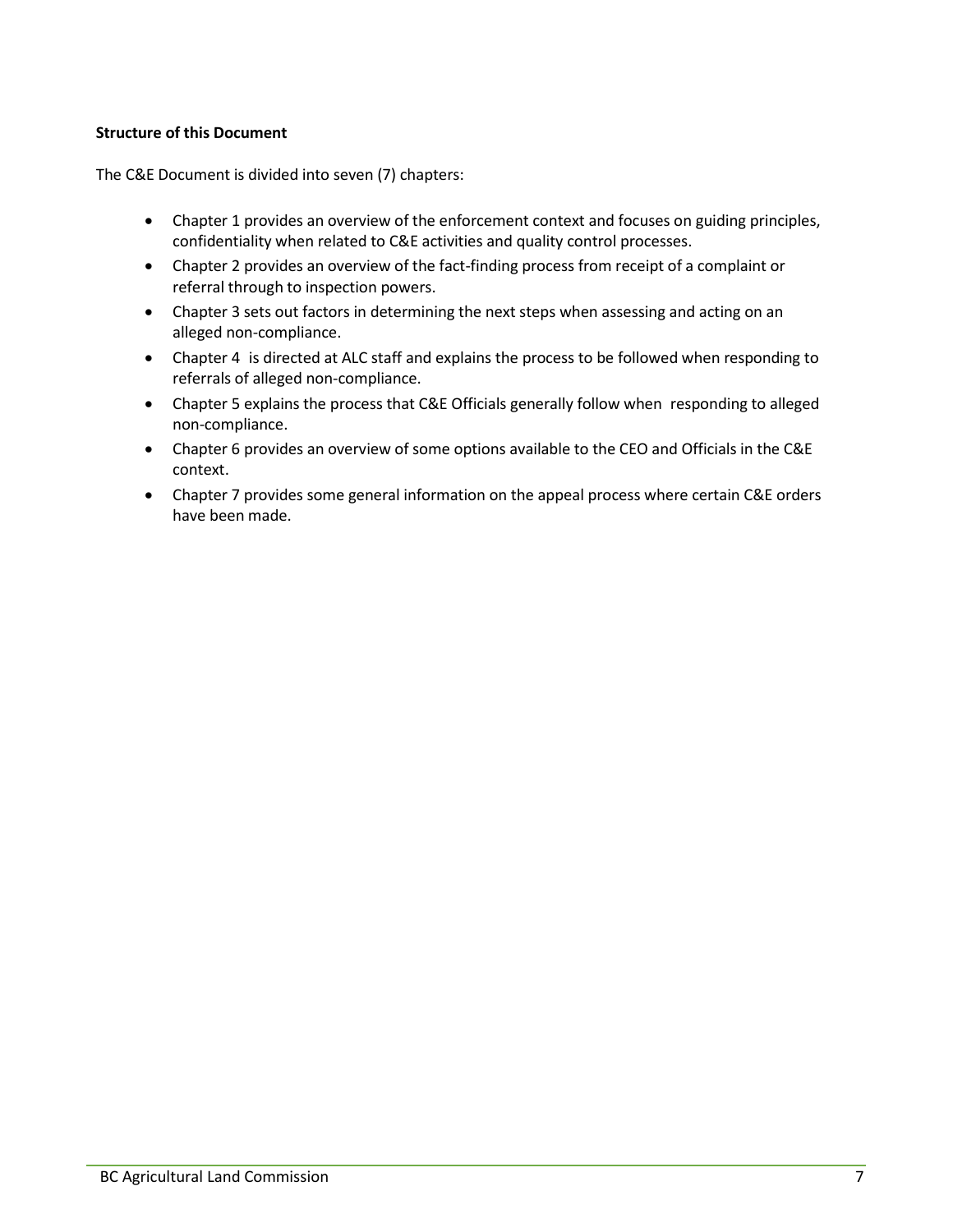#### <span id="page-7-0"></span>**Structure of this Document**

The C&E Document is divided into seven (7) chapters:

- Chapter 1 provides an overview of the enforcement context and focuses on guiding principles, confidentiality when related to C&E activities and quality control processes.
- Chapter 2 provides an overview of the fact-finding process from receipt of a complaint or referral through to inspection powers.
- Chapter 3 sets out factors in determining the next steps when assessing and acting on an alleged non-compliance.
- Chapter 4 is directed at ALC staff and explains the process to be followed when responding to referrals of alleged non-compliance.
- Chapter 5 explains the process that C&E Officials generally follow when responding to alleged non-compliance.
- Chapter 6 provides an overview of some options available to the CEO and Officials in the C&E context.
- Chapter 7 provides some general information on the appeal process where certain C&E orders have been made.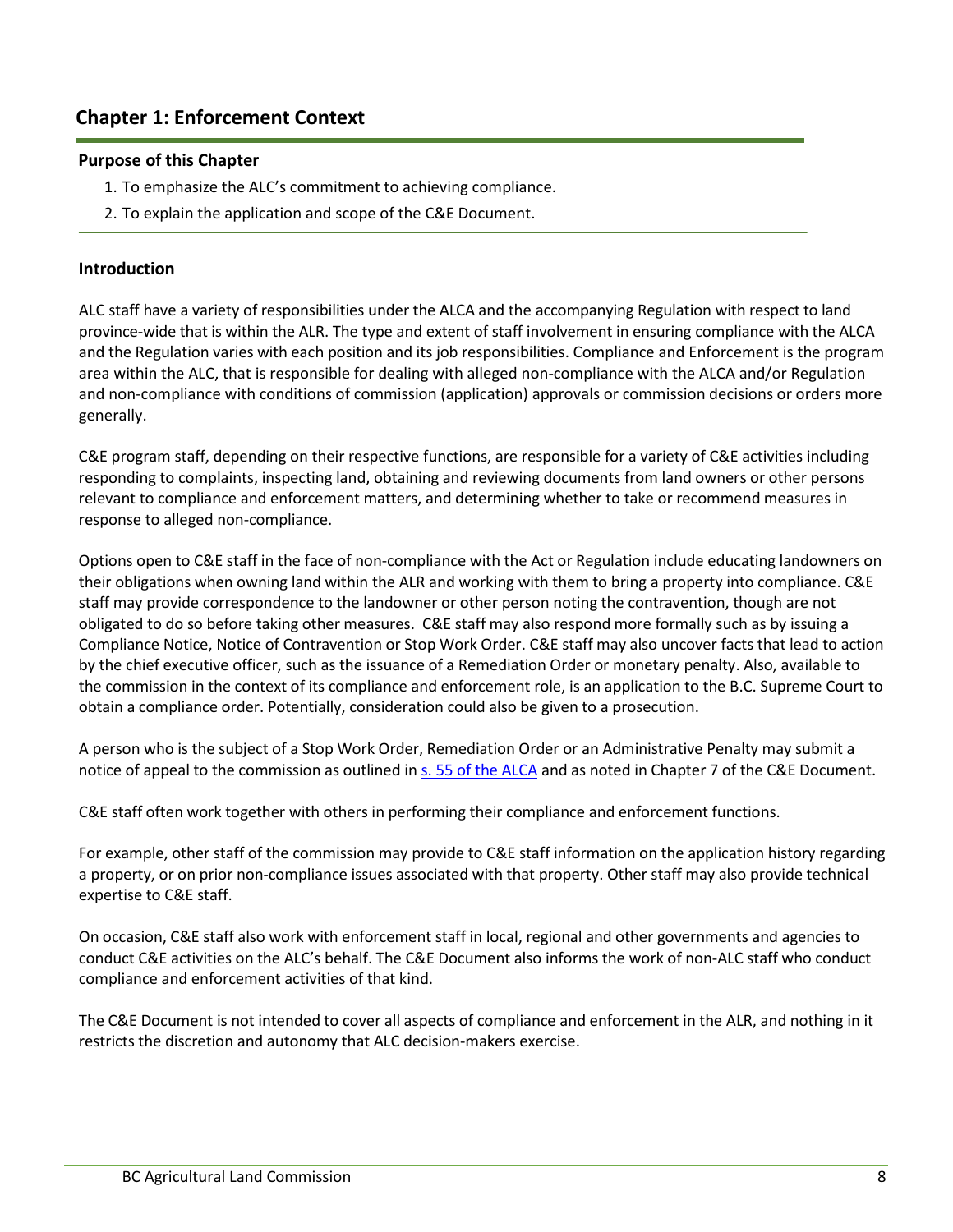### <span id="page-8-1"></span><span id="page-8-0"></span>**Purpose of this Chapter**

- 1. To emphasize the ALC's commitment to achieving compliance.
- 2. To explain the application and scope of the C&E Document.

### **Introduction**

ALC staff have a variety of responsibilities under the ALCA and the accompanying Regulation with respect to land province-wide that is within the ALR. The type and extent of staff involvement in ensuring compliance with the ALCA and the Regulation varies with each position and its job responsibilities. Compliance and Enforcement is the program area within the ALC, that is responsible for dealing with alleged non-compliance with the ALCA and/or Regulation and non-compliance with conditions of commission (application) approvals or commission decisions or orders more generally.

C&E program staff, depending on their respective functions, are responsible for a variety of C&E activities including responding to complaints, inspecting land, obtaining and reviewing documents from land owners or other persons relevant to compliance and enforcement matters, and determining whether to take or recommend measures in response to alleged non-compliance.

Options open to C&E staff in the face of non-compliance with the Act or Regulation include educating landowners on their obligations when owning land within the ALR and working with them to bring a property into compliance. C&E staff may provide correspondence to the landowner or other person noting the contravention, though are not obligated to do so before taking other measures. C&E staff may also respond more formally such as by issuing a Compliance Notice, Notice of Contravention or Stop Work Order. C&E staff may also uncover facts that lead to action by the chief executive officer, such as the issuance of a Remediation Order or monetary penalty. Also, available to the commission in the context of its compliance and enforcement role, is an application to the B.C. Supreme Court to obtain a compliance order. Potentially, consideration could also be given to a prosecution.

A person who is the subject of a Stop Work Order, Remediation Order or an Administrative Penalty may submit a notice of appeal to the commission as outlined in s. 55 [of the ALCA](http://www.bclaws.ca/civix/document/id/complete/statreg/02036_01#section55) and as noted in Chapter 7 of the C&E Document.

C&E staff often work together with others in performing their compliance and enforcement functions.

For example, other staff of the commission may provide to C&E staff information on the application history regarding a property, or on prior non-compliance issues associated with that property. Other staff may also provide technical expertise to C&E staff.

On occasion, C&E staff also work with enforcement staff in local, regional and other governments and agencies to conduct C&E activities on the ALC's behalf. The C&E Document also informs the work of non-ALC staff who conduct compliance and enforcement activities of that kind.

The C&E Document is not intended to cover all aspects of compliance and enforcement in the ALR, and nothing in it restricts the discretion and autonomy that ALC decision-makers exercise.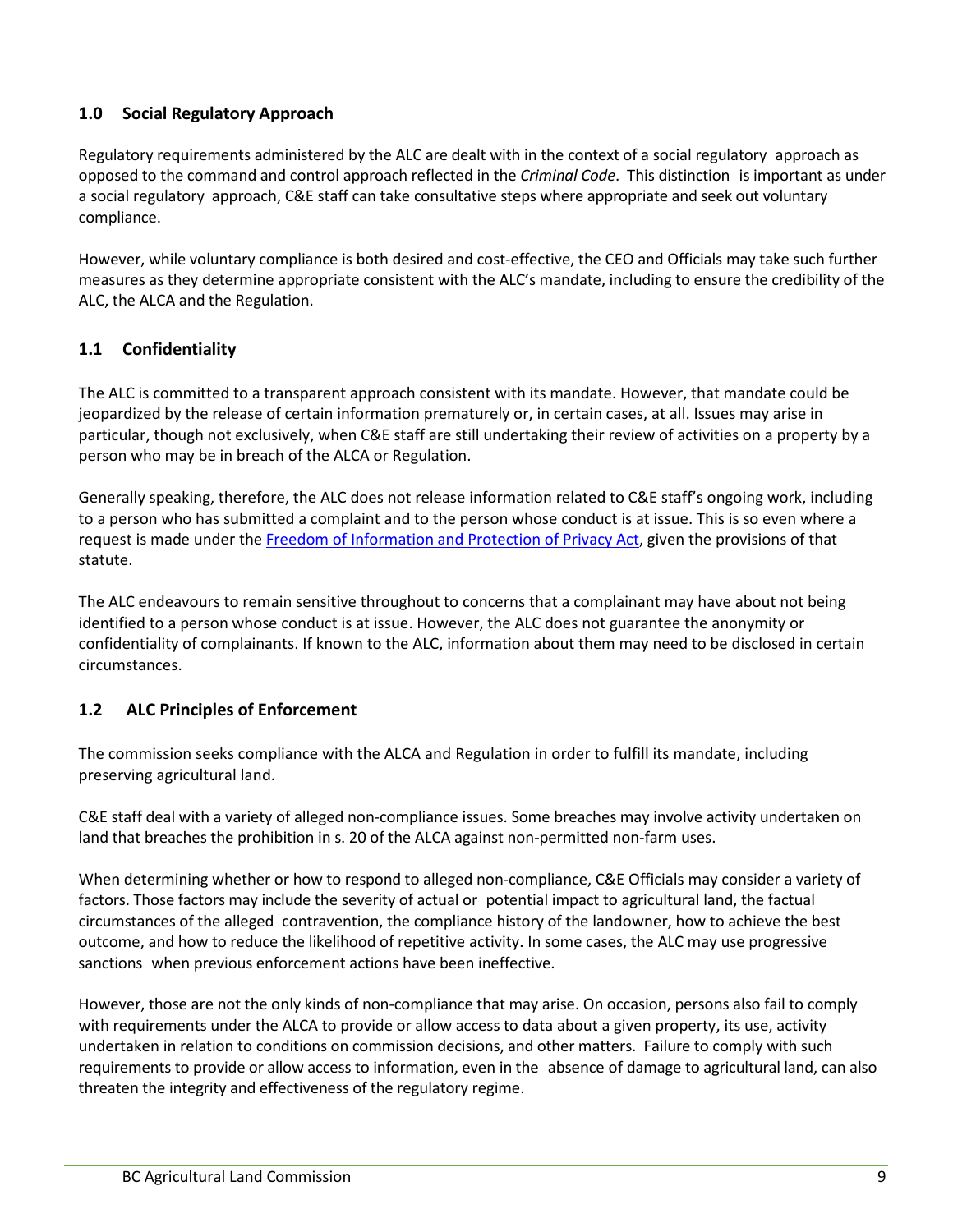## **1.0 Social Regulatory Approach**

Regulatory requirements administered by the ALC are dealt with in the context of a social regulatory approach as opposed to the command and control approach reflected in the *Criminal Code*. This distinction is important as under a social regulatory approach, C&E staff can take consultative steps where appropriate and seek out voluntary compliance.

However, while voluntary compliance is both desired and cost-effective, the CEO and Officials may take such further measures as they determine appropriate consistent with the ALC's mandate, including to ensure the credibility of the ALC, the ALCA and the Regulation.

## **1.1 Confidentiality**

The ALC is committed to a transparent approach consistent with its mandate. However, that mandate could be jeopardized by the release of certain information prematurely or, in certain cases, at all. Issues may arise in particular, though not exclusively, when C&E staff are still undertaking their review of activities on a property by a person who may be in breach of the ALCA or Regulation.

Generally speaking, therefore, the ALC does not release information related to C&E staff's ongoing work, including to a person who has submitted a complaint and to the person whose conduct is at issue. This is so even where a request is made under the [Freedom of Information and Protection of Privacy Act,](http://www.bclaws.ca/civix/document/id/complete/statreg/96165_01) given the provisions of that statute.

The ALC endeavours to remain sensitive throughout to concerns that a complainant may have about not being identified to a person whose conduct is at issue. However, the ALC does not guarantee the anonymity or confidentiality of complainants. If known to the ALC, information about them may need to be disclosed in certain circumstances.

## **1.2 ALC Principles of Enforcement**

The commission seeks compliance with the ALCA and Regulation in order to fulfill its mandate, including preserving agricultural land.

C&E staff deal with a variety of alleged non-compliance issues. Some breaches may involve activity undertaken on land that breaches the prohibition in s. 20 of the ALCA against non-permitted non-farm uses.

When determining whether or how to respond to alleged non-compliance, C&E Officials may consider a variety of factors. Those factors may include the severity of actual or potential impact to agricultural land, the factual circumstances of the alleged contravention, the compliance history of the landowner, how to achieve the best outcome, and how to reduce the likelihood of repetitive activity. In some cases, the ALC may use progressive sanctions when previous enforcement actions have been ineffective.

However, those are not the only kinds of non-compliance that may arise. On occasion, persons also fail to comply with requirements under the ALCA to provide or allow access to data about a given property, its use, activity undertaken in relation to conditions on commission decisions, and other matters. Failure to comply with such requirements to provide or allow access to information, even in the absence of damage to agricultural land, can also threaten the integrity and effectiveness of the regulatory regime.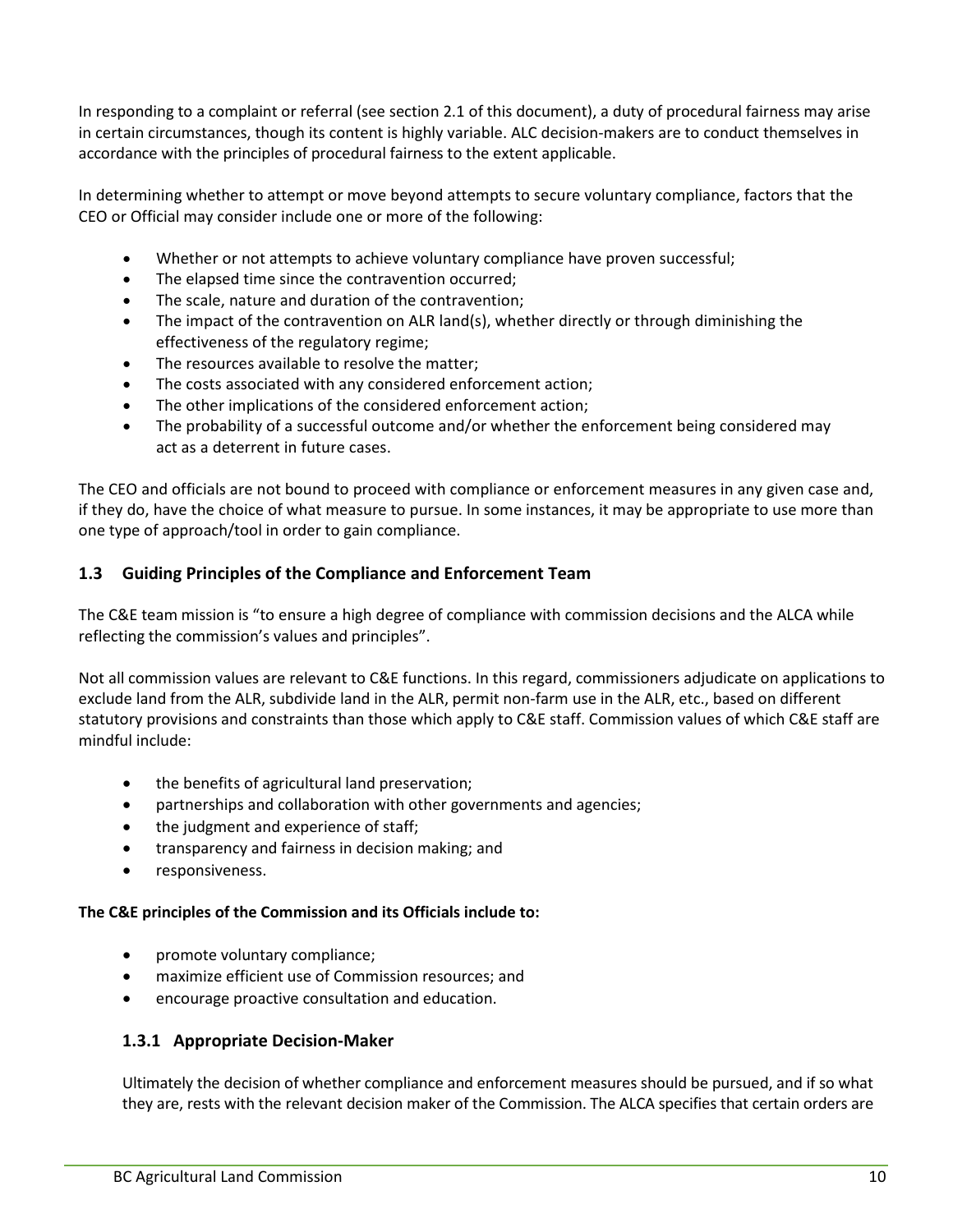In responding to a complaint or referral (see section 2.1 of this document), a duty of procedural fairness may arise in certain circumstances, though its content is highly variable. ALC decision-makers are to conduct themselves in accordance with the principles of procedural fairness to the extent applicable.

In determining whether to attempt or move beyond attempts to secure voluntary compliance, factors that the CEO or Official may consider include one or more of the following:

- Whether or not attempts to achieve voluntary compliance have proven successful;
- The elapsed time since the contravention occurred;
- The scale, nature and duration of the contravention;
- The impact of the contravention on ALR land(s), whether directly or through diminishing the effectiveness of the regulatory regime;
- The resources available to resolve the matter;
- The costs associated with any considered enforcement action;
- The other implications of the considered enforcement action;
- The probability of a successful outcome and/or whether the enforcement being considered may act as a deterrent in future cases.

The CEO and officials are not bound to proceed with compliance or enforcement measures in any given case and, if they do, have the choice of what measure to pursue. In some instances, it may be appropriate to use more than one type of approach/tool in order to gain compliance.

## **1.3 Guiding Principles of the Compliance and Enforcement Team**

The C&E team mission is "to ensure a high degree of compliance with commission decisions and the ALCA while reflecting the commission's values and principles".

Not all commission values are relevant to C&E functions. In this regard, commissioners adjudicate on applications to exclude land from the ALR, subdivide land in the ALR, permit non-farm use in the ALR, etc., based on different statutory provisions and constraints than those which apply to C&E staff. Commission values of which C&E staff are mindful include:

- the benefits of agricultural land preservation;
- partnerships and collaboration with other governments and agencies;
- the judgment and experience of staff;
- transparency and fairness in decision making; and
- responsiveness.

#### **The C&E principles of the Commission and its Officials include to:**

- promote voluntary compliance;
- maximize efficient use of Commission resources; and
- encourage proactive consultation and education.

#### **1.3.1 Appropriate Decision-Maker**

Ultimately the decision of whether compliance and enforcement measures should be pursued, and if so what they are, rests with the relevant decision maker of the Commission. The ALCA specifies that certain orders are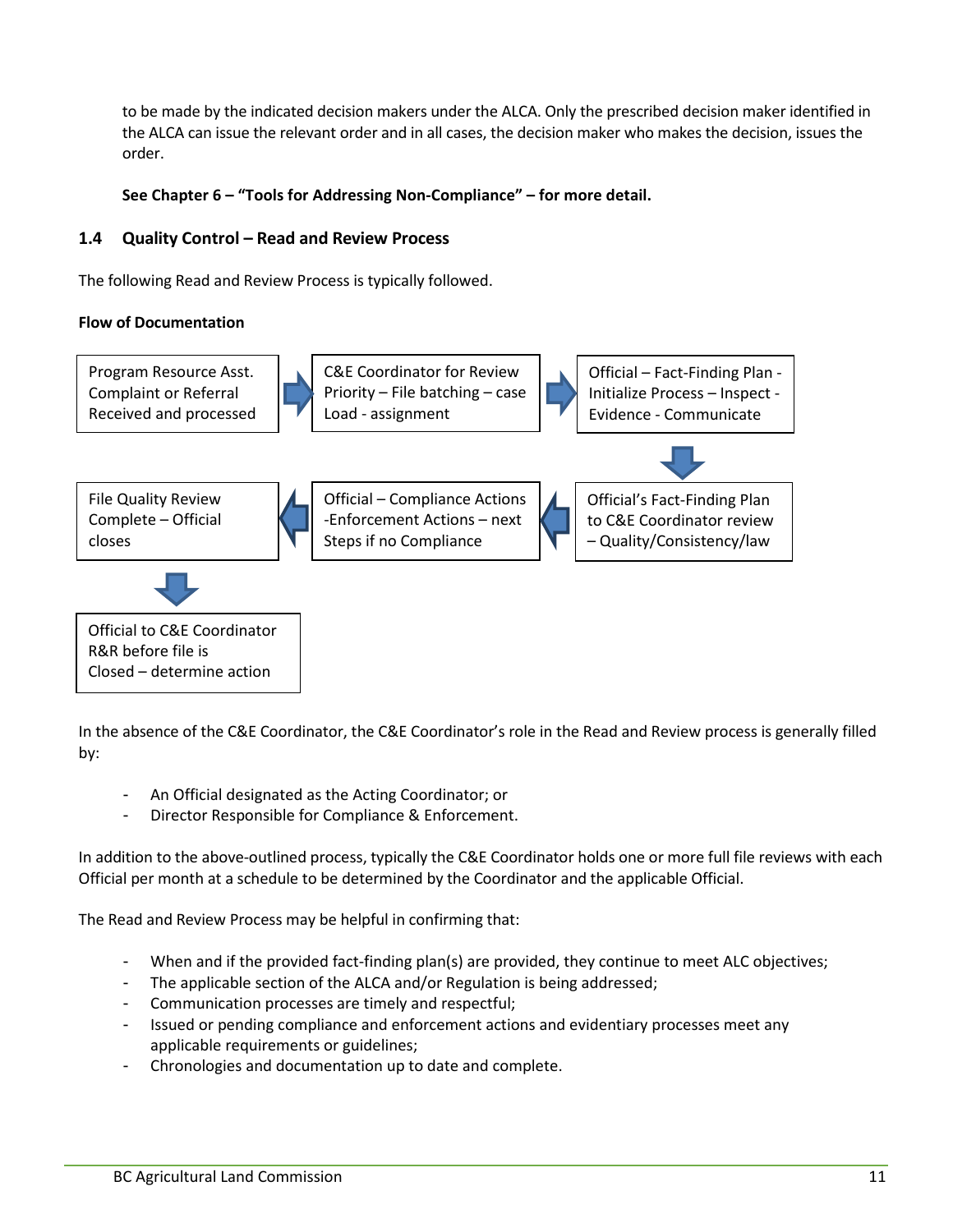to be made by the indicated decision makers under the ALCA. Only the prescribed decision maker identified in the ALCA can issue the relevant order and in all cases, the decision maker who makes the decision, issues the order.

#### **See Chapter 6 – "Tools for Addressing Non-Compliance" – for more detail.**

#### **1.4 Quality Control – Read and Review Process**

The following Read and Review Process is typically followed.

#### **Flow of Documentation**



In the absence of the C&E Coordinator, the C&E Coordinator's role in the Read and Review process is generally filled by:

- An Official designated as the Acting Coordinator; or
- Director Responsible for Compliance & Enforcement.

In addition to the above-outlined process, typically the C&E Coordinator holds one or more full file reviews with each Official per month at a schedule to be determined by the Coordinator and the applicable Official.

The Read and Review Process may be helpful in confirming that:

- When and if the provided fact-finding plan(s) are provided, they continue to meet ALC objectives;
- The applicable section of the ALCA and/or Regulation is being addressed;
- Communication processes are timely and respectful;
- Issued or pending compliance and enforcement actions and evidentiary processes meet any applicable requirements or guidelines;
- Chronologies and documentation up to date and complete.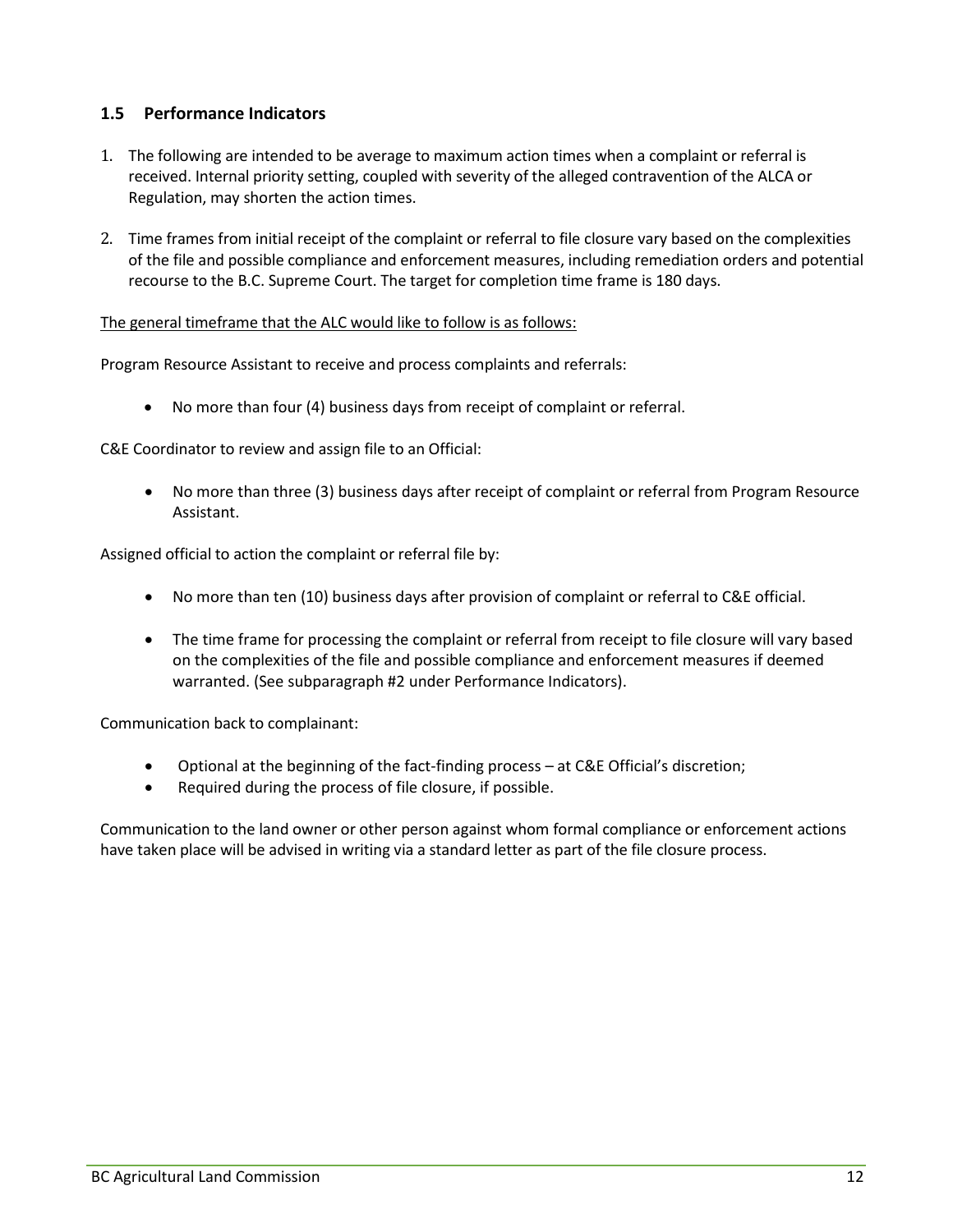### <span id="page-12-0"></span>**1.5 Performance Indicators**

- 1. The following are intended to be average to maximum action times when a complaint or referral is received. Internal priority setting, coupled with severity of the alleged contravention of the ALCA or Regulation, may shorten the action times.
- 2. Time frames from initial receipt of the complaint or referral to file closure vary based on the complexities of the file and possible compliance and enforcement measures, including remediation orders and potential recourse to the B.C. Supreme Court. The target for completion time frame is 180 days.

#### The general timeframe that the ALC would like to follow is as follows:

Program Resource Assistant to receive and process complaints and referrals:

• No more than four (4) business days from receipt of complaint or referral.

C&E Coordinator to review and assign file to an Official:

• No more than three (3) business days after receipt of complaint or referral from Program Resource Assistant.

Assigned official to action the complaint or referral file by:

- No more than ten (10) business days after provision of complaint or referral to C&E official.
- The time frame for processing the complaint or referral from receipt to file closure will vary based on the complexities of the file and possible compliance and enforcement measures if deemed warranted. (See subparagraph #2 under Performance Indicators).

Communication back to complainant:

- Optional at the beginning of the fact-finding process at C&E Official's discretion;
- Required during the process of file closure, if possible.

Communication to the land owner or other person against whom formal compliance or enforcement actions have taken place will be advised in writing via a standard letter as part of the file closure process.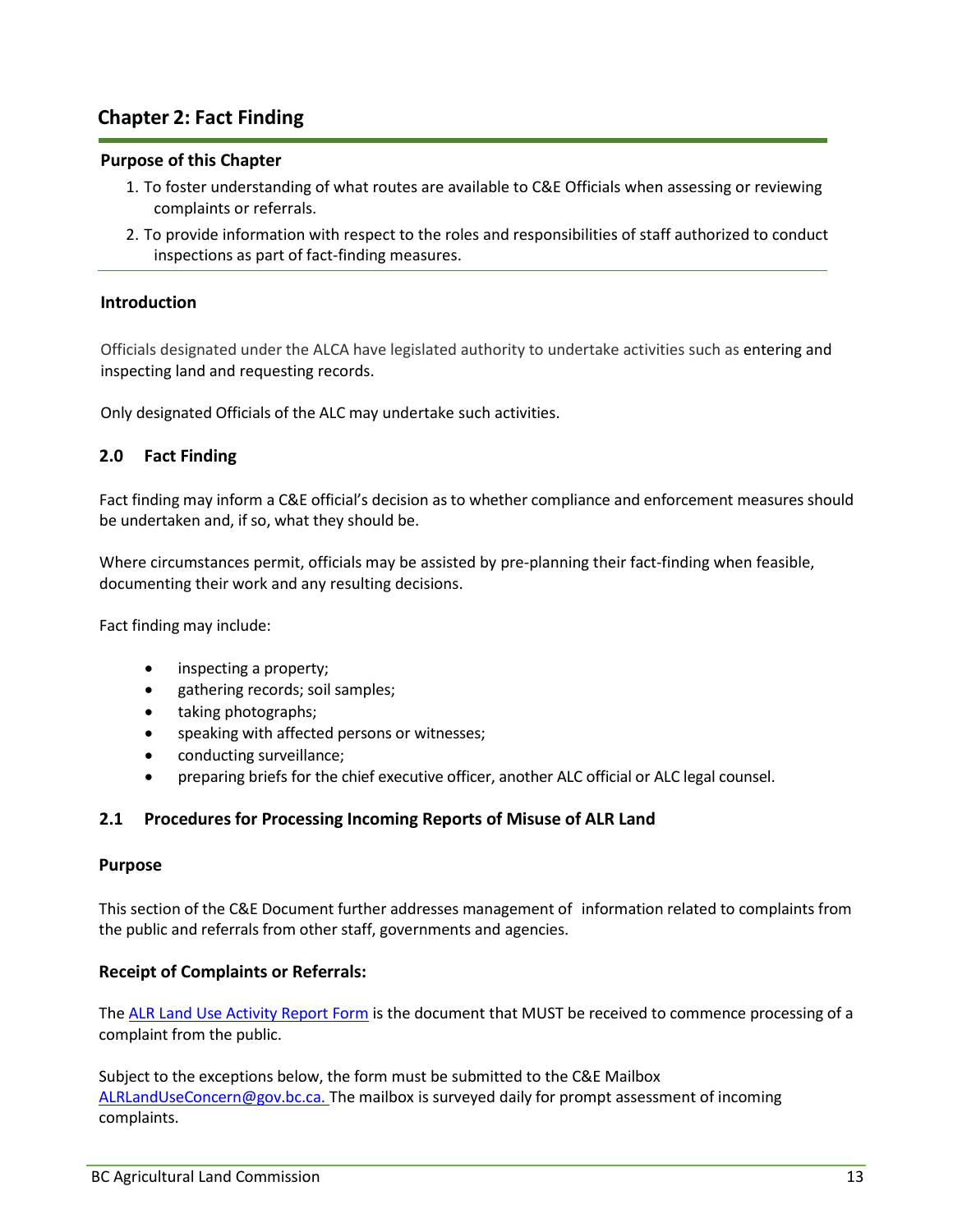## **Chapter 2: Fact Finding**

#### <span id="page-13-0"></span>**Purpose of this Chapter**

- 1. To foster understanding of what routes are available to C&E Officials when assessing or reviewing complaints or referrals.
- 2. To provide information with respect to the roles and responsibilities of staff authorized to conduct inspections as part of fact-finding measures.

#### **Introduction**

Officials designated under the ALCA have legislated authority to undertake activities such as entering and inspecting land and requesting records.

Only designated Officials of the ALC may undertake such activities.

#### **2.0 Fact Finding**

Fact finding may inform a C&E official's decision as to whether compliance and enforcement measures should be undertaken and, if so, what they should be.

Where circumstances permit, officials may be assisted by pre-planning their fact-finding when feasible, documenting their work and any resulting decisions.

Fact finding may include:

- inspecting a property;
- gathering records; soil samples;
- taking photographs;
- speaking with affected persons or witnesses;
- conducting surveillance;
- preparing briefs for the chief executive officer, another ALC official or ALC legal counsel.

#### **2.1 Procedures for Processing Incoming Reports of Misuse of ALR Land**

#### **Purpose**

This section of the C&E Document further addresses management of information related to complaints from the public and referrals from other staff, governments and agencies.

#### **Receipt of Complaints or Referrals:**

The [ALR Land Use](http://www.alc.gov.bc.ca/assets/alc/assets/legislation-and-regulation/compliance-and-enforcement/unauthorized-use-on-alr-land/c_e_alr_land_use_activity_report_form.pdf) Activity Report Form is the document that MUST be received to commence processing of a complaint from the public.

Subject to the exceptions below, the form must be submitted to the C&E Mailbox ALRLandUseConcern@gov.bc.ca. The mailbox is surveyed daily for prompt assessment of incoming complaints.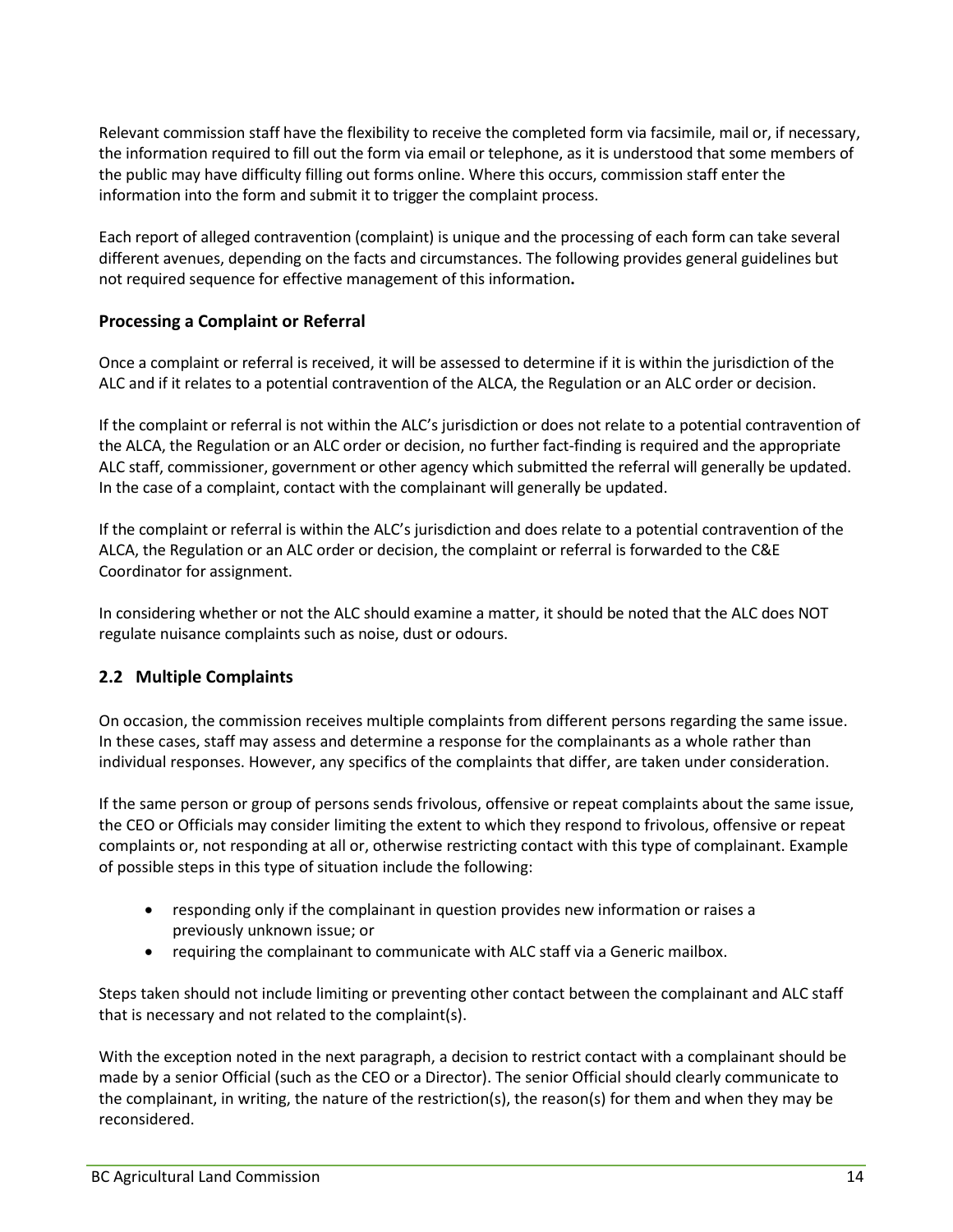Relevant commission staff have the flexibility to receive the completed form via facsimile, mail or, if necessary, the information required to fill out the form via email or telephone, as it is understood that some members of the public may have difficulty filling out forms online. Where this occurs, commission staff enter the information into the form and submit it to trigger the complaint process.

Each report of alleged contravention (complaint) is unique and the processing of each form can take several different avenues, depending on the facts and circumstances. The following provides general guidelines but not required sequence for effective management of this information**.** 

### **Processing a Complaint or Referral**

Once a complaint or referral is received, it will be assessed to determine if it is within the jurisdiction of the ALC and if it relates to a potential contravention of the ALCA, the Regulation or an ALC order or decision.

If the complaint or referral is not within the ALC's jurisdiction or does not relate to a potential contravention of the ALCA, the Regulation or an ALC order or decision, no further fact-finding is required and the appropriate ALC staff, commissioner, government or other agency which submitted the referral will generally be updated. In the case of a complaint, contact with the complainant will generally be updated.

If the complaint or referral is within the ALC's jurisdiction and does relate to a potential contravention of the ALCA, the Regulation or an ALC order or decision, the complaint or referral is forwarded to the C&E Coordinator for assignment.

In considering whether or not the ALC should examine a matter, it should be noted that the ALC does NOT regulate nuisance complaints such as noise, dust or odours.

## **2.2 Multiple Complaints**

On occasion, the commission receives multiple complaints from different persons regarding the same issue. In these cases, staff may assess and determine a response for the complainants as a whole rather than individual responses. However, any specifics of the complaints that differ, are taken under consideration.

If the same person or group of persons sends frivolous, offensive or repeat complaints about the same issue, the CEO or Officials may consider limiting the extent to which they respond to frivolous, offensive or repeat complaints or, not responding at all or, otherwise restricting contact with this type of complainant. Example of possible steps in this type of situation include the following:

- responding only if the complainant in question provides new information or raises a previously unknown issue; or
- requiring the complainant to communicate with ALC staff via a Generic mailbox.

Steps taken should not include limiting or preventing other contact between the complainant and ALC staff that is necessary and not related to the complaint(s).

With the exception noted in the next paragraph, a decision to restrict contact with a complainant should be made by a senior Official (such as the CEO or a Director). The senior Official should clearly communicate to the complainant, in writing, the nature of the restriction(s), the reason(s) for them and when they may be reconsidered.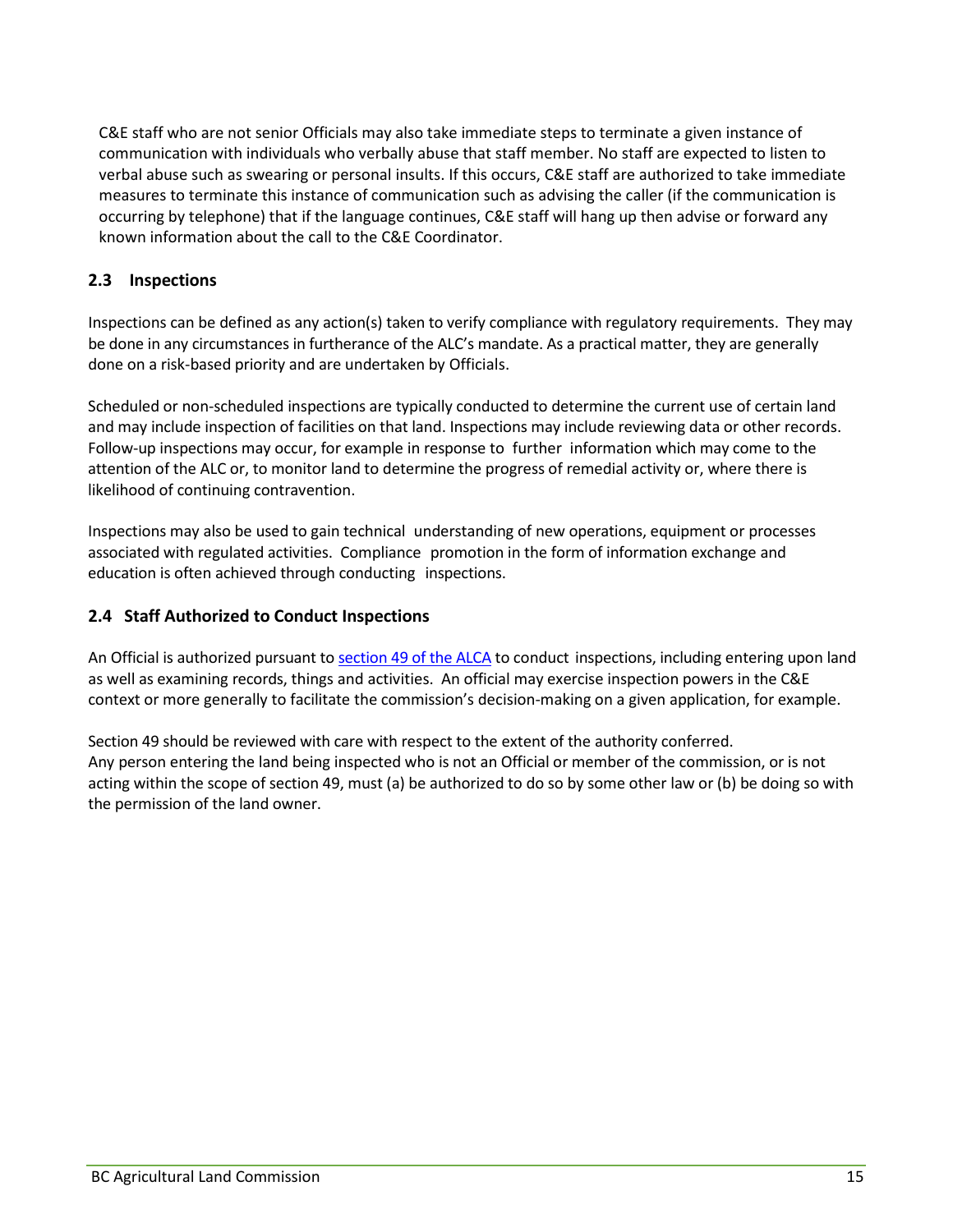C&E staff who are not senior Officials may also take immediate steps to terminate a given instance of communication with individuals who verbally abuse that staff member. No staff are expected to listen to verbal abuse such as swearing or personal insults. If this occurs, C&E staff are authorized to take immediate measures to terminate this instance of communication such as advising the caller (if the communication is occurring by telephone) that if the language continues, C&E staff will hang up then advise or forward any known information about the call to the C&E Coordinator.

## **2.3 Inspections**

Inspections can be defined as any action(s) taken to verify compliance with regulatory requirements. They may be done in any circumstances in furtherance of the ALC's mandate. As a practical matter, they are generally done on a risk-based priority and are undertaken by Officials.

Scheduled or non-scheduled inspections are typically conducted to determine the current use of certain land and may include inspection of facilities on that land. Inspections may include reviewing data or other records. Follow-up inspections may occur, for example in response to further information which may come to the attention of the ALC or, to monitor land to determine the progress of remedial activity or, where there is likelihood of continuing contravention.

Inspections may also be used to gain technical understanding of new operations, equipment or processes associated with regulated activities. Compliance promotion in the form of information exchange and education is often achieved through conducting inspections.

## **2.4 Staff Authorized to Conduct Inspections**

An Official is authorized pursuant t[o section 49 of the ALCA](http://www.bclaws.ca/civix/document/id/complete/statreg/02036_01#section49) to conduct inspections, including entering upon land as well as examining records, things and activities. An official may exercise inspection powers in the C&E context or more generally to facilitate the commission's decision-making on a given application, for example.

Section 49 should be reviewed with care with respect to the extent of the authority conferred. Any person entering the land being inspected who is not an Official or member of the commission, or is not acting within the scope of section 49, must (a) be authorized to do so by some other law or (b) be doing so with the permission of the land owner.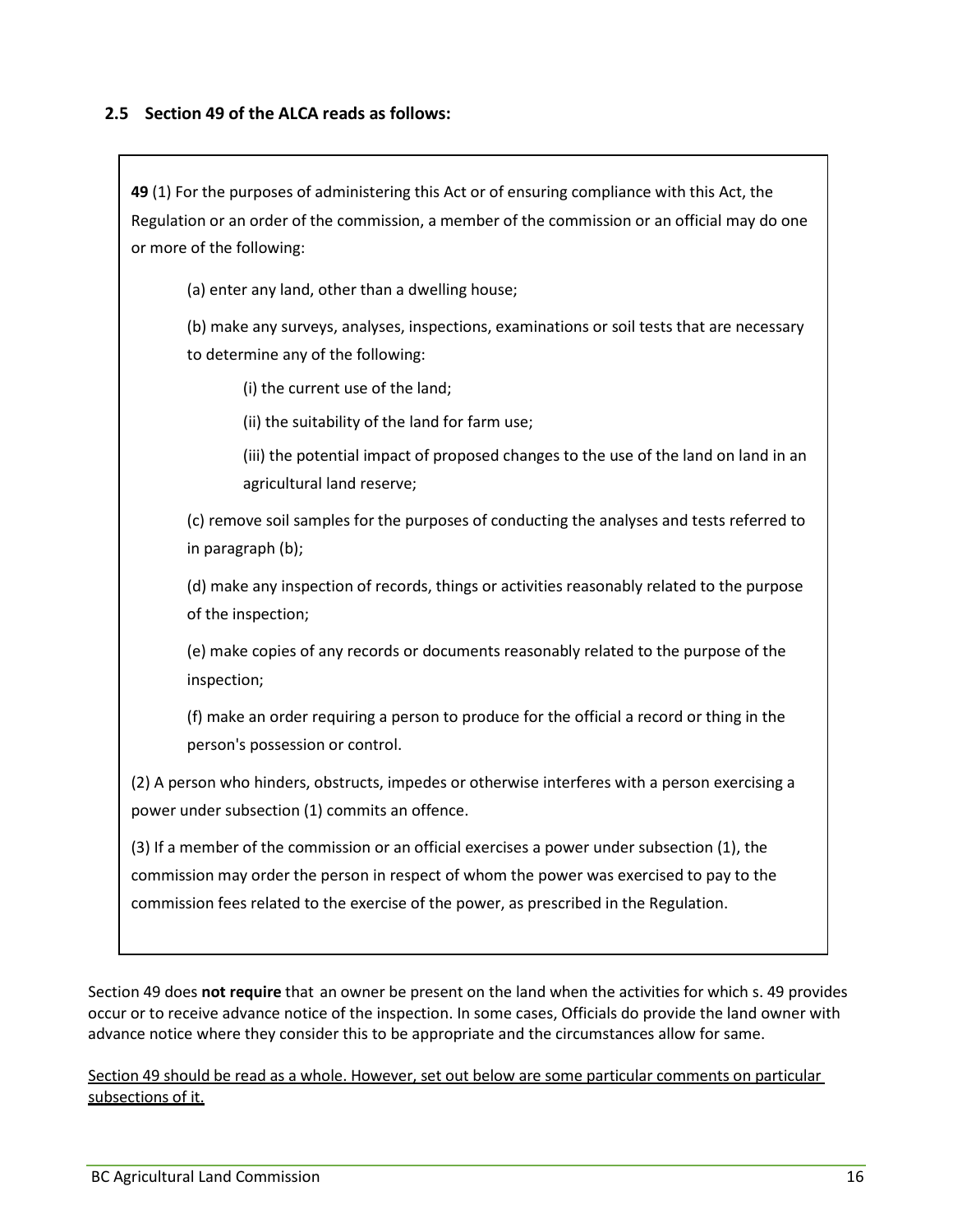#### **2.5 Section 49 of the ALCA reads as follows:**

**49** (1) For the purposes of administering this Act or of ensuring compliance with this Act, the Regulation or an order of the commission, a member of the commission or an official may do one or more of the following: (a) enter any land, other than a dwelling house; (b) make any surveys, analyses, inspections, examinations or soil tests that are necessary to determine any of the following: (i) the current use of the land; (ii) the suitability of the land for farm use; (iii) the potential impact of proposed changes to the use of the land on land in an agricultural land reserve; (c) remove soil samples for the purposes of conducting the analyses and tests referred to in paragraph (b); (d) make any inspection of records, things or activities reasonably related to the purpose of the inspection; (e) make copies of any records or documents reasonably related to the purpose of the inspection; (f) make an order requiring a person to produce for the official a record or thing in the person's possession or control. (2) A person who hinders, obstructs, impedes or otherwise interferes with a person exercising a power under subsection (1) commits an offence. (3) If a member of the commission or an official exercises a power under subsection (1), the commission may order the person in respect of whom the power was exercised to pay to the commission fees related to the exercise of the power, as prescribed in the Regulation.

Section 49 does **not require** that an owner be present on the land when the activities for which s. 49 provides occur or to receive advance notice of the inspection. In some cases, Officials do provide the land owner with advance notice where they consider this to be appropriate and the circumstances allow for same.

Section 49 should be read as a whole. However, set out below are some particular comments on particular subsections of it.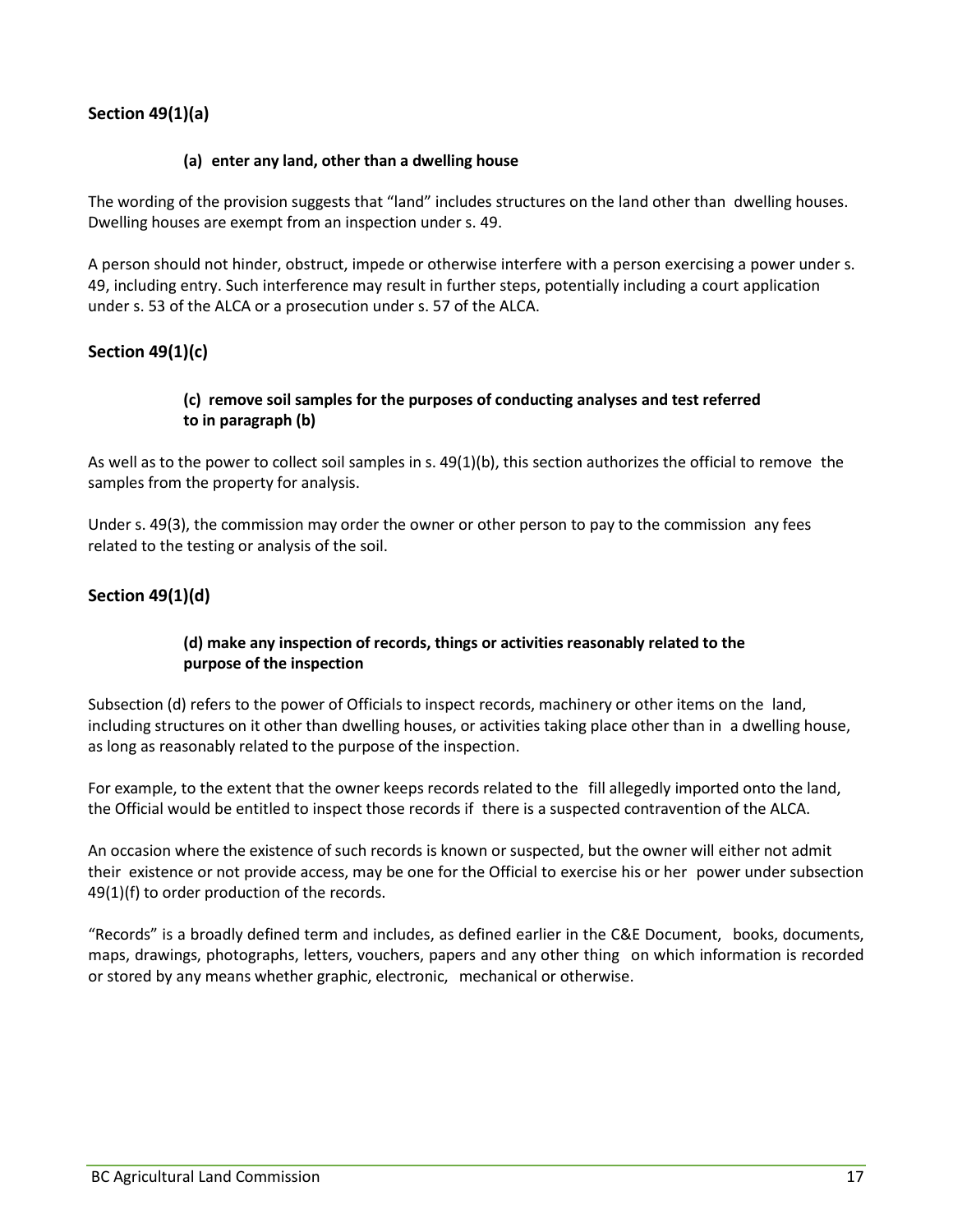### **Section 49(1)(a)**

#### **(a) enter any land, other than a dwelling house**

The wording of the provision suggests that "land" includes structures on the land other than dwelling houses. Dwelling houses are exempt from an inspection under s. 49.

A person should not hinder, obstruct, impede or otherwise interfere with a person exercising a power under s. 49, including entry. Such interference may result in further steps, potentially including a court application under s. 53 of the ALCA or a prosecution under s. 57 of the ALCA.

#### **Section 49(1)(c)**

#### **(c) remove soil samples for the purposes of conducting analyses and test referred to in paragraph (b)**

As well as to the power to collect soil samples in s. 49(1)(b), this section authorizes the official to remove the samples from the property for analysis.

Under s. 49(3), the commission may order the owner or other person to pay to the commission any fees related to the testing or analysis of the soil.

#### **Section 49(1)(d)**

#### **(d) make any inspection of records, things or activities reasonably related to the purpose of the inspection**

Subsection (d) refers to the power of Officials to inspect records, machinery or other items on the land, including structures on it other than dwelling houses, or activities taking place other than in a dwelling house, as long as reasonably related to the purpose of the inspection.

For example, to the extent that the owner keeps records related to the fill allegedly imported onto the land, the Official would be entitled to inspect those records if there is a suspected contravention of the ALCA.

An occasion where the existence of such records is known or suspected, but the owner will either not admit their existence or not provide access, may be one for the Official to exercise his or her power under subsection 49(1)(f) to order production of the records.

"Records" is a broadly defined term and includes, as defined earlier in the C&E Document, books, documents, maps, drawings, photographs, letters, vouchers, papers and any other thing on which information is recorded or stored by any means whether graphic, electronic, mechanical or otherwise.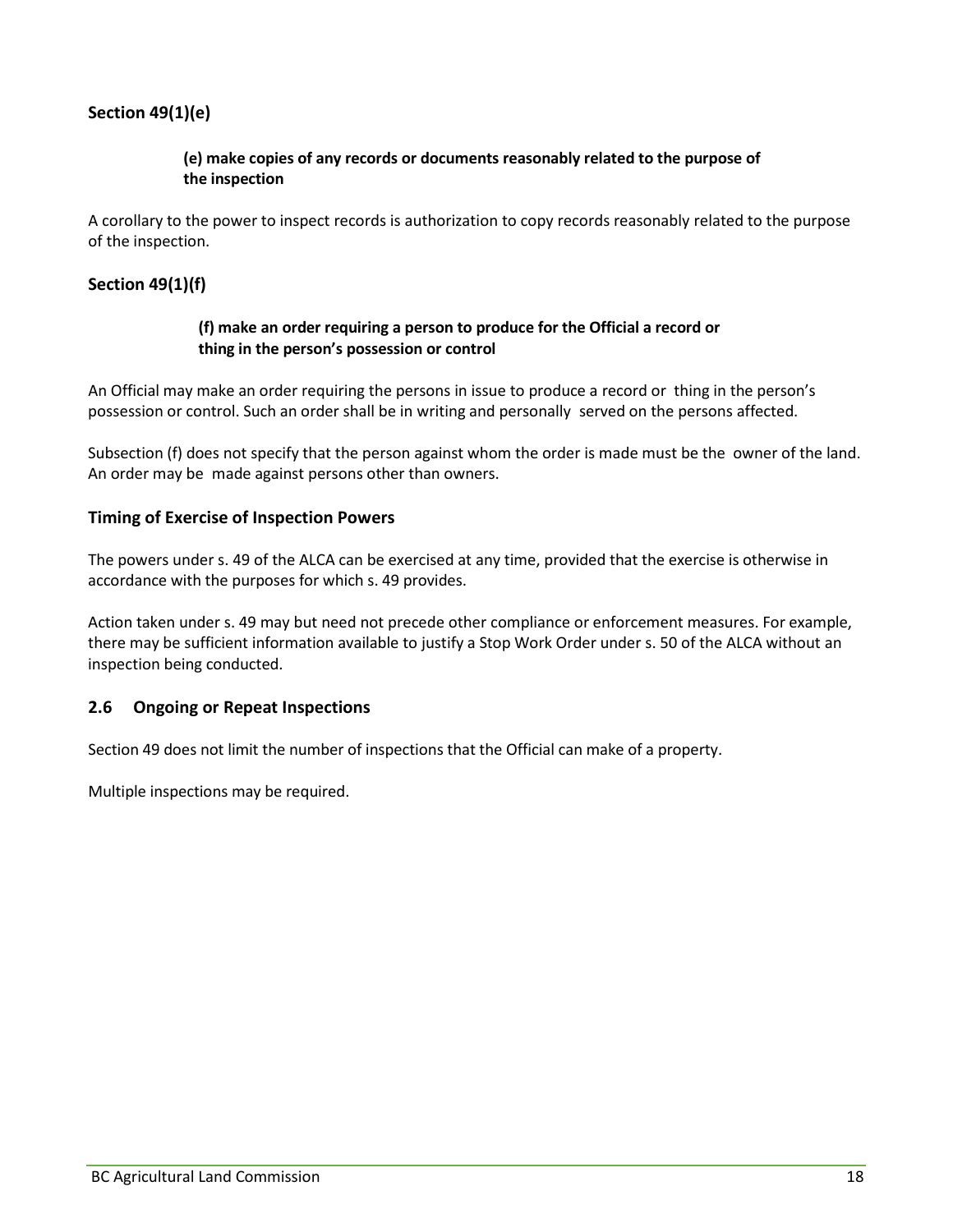## **Section 49(1)(e)**

#### **(e) make copies of any records or documents reasonably related to the purpose of the inspection**

A corollary to the power to inspect records is authorization to copy records reasonably related to the purpose of the inspection.

#### **Section 49(1)(f)**

#### **(f) make an order requiring a person to produce for the Official a record or thing in the person's possession or control**

An Official may make an order requiring the persons in issue to produce a record or thing in the person's possession or control. Such an order shall be in writing and personally served on the persons affected.

Subsection (f) does not specify that the person against whom the order is made must be the owner of the land. An order may be made against persons other than owners.

#### **Timing of Exercise of Inspection Powers**

The powers under s. 49 of the ALCA can be exercised at any time, provided that the exercise is otherwise in accordance with the purposes for which s. 49 provides.

Action taken under s. 49 may but need not precede other compliance or enforcement measures. For example, there may be sufficient information available to justify a Stop Work Order under [s. 50](http://www.bclaws.ca/civix/document/id/complete/statreg/02036_01#section50) of the ALCA without an inspection being conducted.

#### **2.6 Ongoing or Repeat Inspections**

Section 49 does not limit the number of inspections that the Official can make of a property.

<span id="page-18-0"></span>Multiple inspections may be required.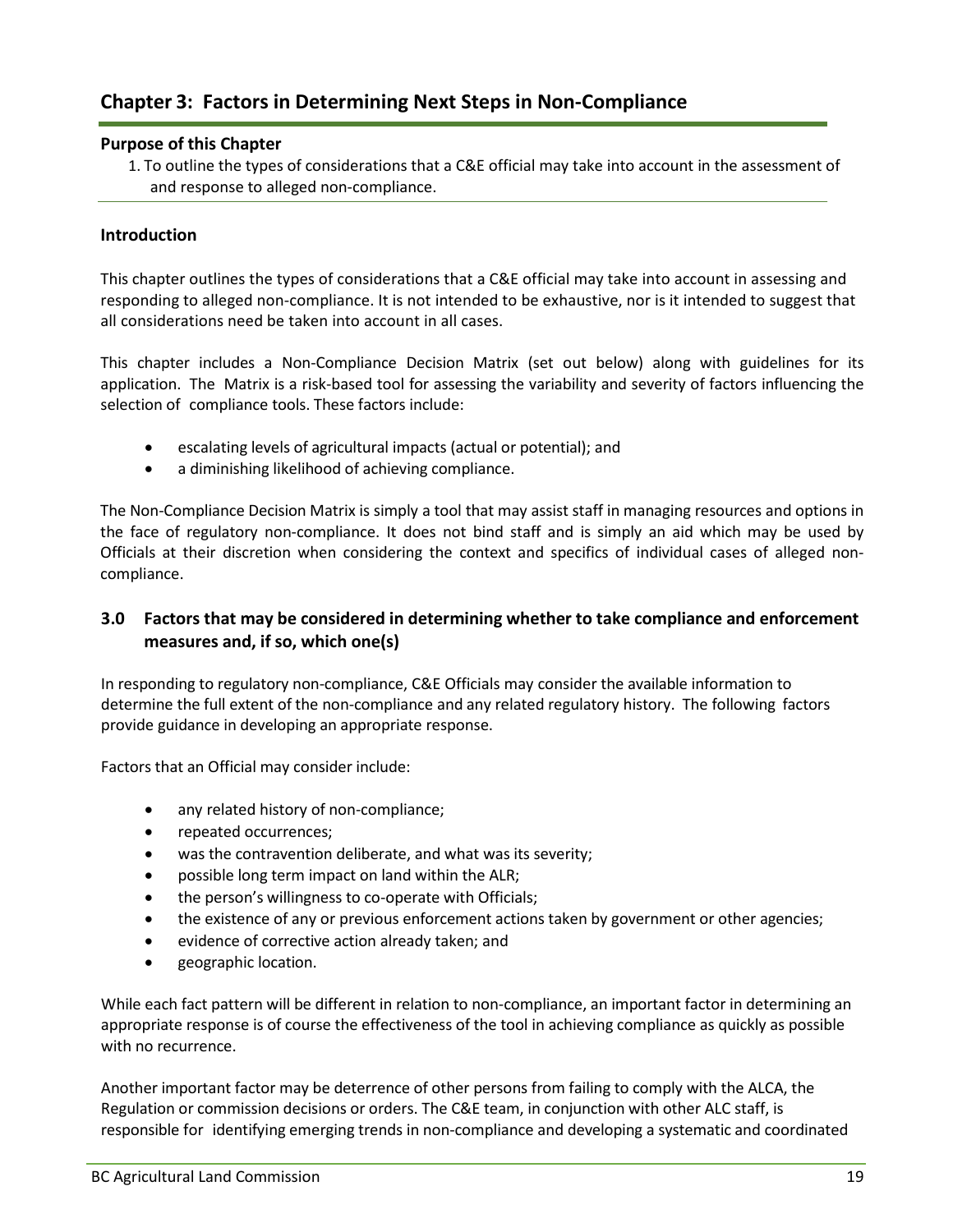## <span id="page-19-0"></span>**Chapter 3: Factors in Determining Next Steps in Non-Compliance**

#### <span id="page-19-1"></span>**Purpose of this Chapter**

1. To outline the types of considerations that a C&E official may take into account in the assessment of and response to alleged non-compliance.

### <span id="page-19-2"></span>**Introduction**

This chapter outlines the types of considerations that a C&E official may take into account in assessing and responding to alleged non-compliance. It is not intended to be exhaustive, nor is it intended to suggest that all considerations need be taken into account in all cases.

This chapter includes a Non-Compliance Decision Matrix (set out below) along with guidelines for its application. The Matrix is a risk-based tool for assessing the variability and severity of factors influencing the selection of compliance tools. These factors include:

- escalating levels of agricultural impacts (actual or potential); and
- a diminishing likelihood of achieving compliance.

The Non-Compliance Decision Matrix is simply a tool that may assist staff in managing resources and options in the face of regulatory non-compliance. It does not bind staff and is simply an aid which may be used by Officials at their discretion when considering the context and specifics of individual cases of alleged noncompliance.

## **3.0 Factors that may be considered in determining whether to take compliance and enforcement measures and, if so, which one(s)**

In responding to regulatory non-compliance, C&E Officials may consider the available information to determine the full extent of the non-compliance and any related regulatory history. The following factors provide guidance in developing an appropriate response.

Factors that an Official may consider include:

- any related history of non-compliance;
- repeated occurrences;
- was the contravention deliberate, and what was its severity;
- possible long term impact on land within the ALR;
- the person's willingness to co-operate with Officials;
- the existence of any or previous enforcement actions taken by government or other agencies;
- evidence of corrective action already taken; and
- geographic location.

While each fact pattern will be different in relation to non-compliance, an important factor in determining an appropriate response is of course the effectiveness of the tool in achieving compliance as quickly as possible with no recurrence.

Another important factor may be deterrence of other persons from failing to comply with the ALCA, the Regulation or commission decisions or orders. The C&E team, in conjunction with other ALC staff, is responsible for identifying emerging trends in non-compliance and developing a systematic and coordinated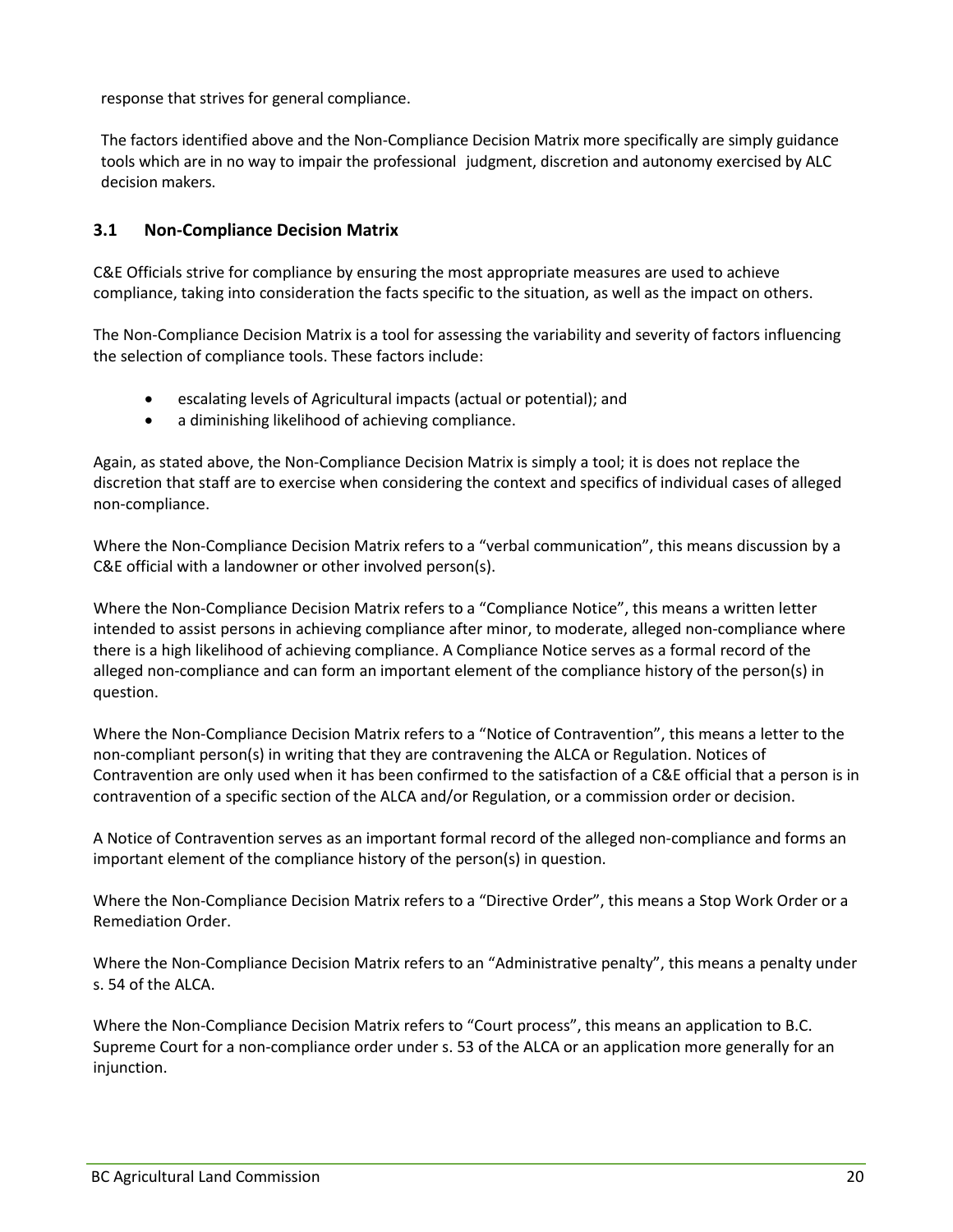response that strives for general compliance.

The factors identified above and the Non-Compliance Decision Matrix more specifically are simply guidance tools which are in no way to impair the professional judgment, discretion and autonomy exercised by ALC decision makers.

#### **3.1 Non-Compliance Decision Matrix**

C&E Officials strive for compliance by ensuring the most appropriate measures are used to achieve compliance, taking into consideration the facts specific to the situation, as well as the impact on others.

The Non-Compliance Decision Matrix is a tool for assessing the variability and severity of factors influencing the selection of compliance tools. These factors include:

- escalating levels of Agricultural impacts (actual or potential); and
- a diminishing likelihood of achieving compliance.

Again, as stated above, the Non-Compliance Decision Matrix is simply a tool; it is does not replace the discretion that staff are to exercise when considering the context and specifics of individual cases of alleged non-compliance.

Where the Non-Compliance Decision Matrix refers to a "verbal communication", this means discussion by a C&E official with a landowner or other involved person(s).

Where the Non-Compliance Decision Matrix refers to a "Compliance Notice", this means a written letter intended to assist persons in achieving compliance after minor, to moderate, alleged non-compliance where there is a high likelihood of achieving compliance. A Compliance Notice serves as a formal record of the alleged non-compliance and can form an important element of the compliance history of the person(s) in question.

Where the Non-Compliance Decision Matrix refers to a "Notice of Contravention", this means a letter to the non-compliant person(s) in writing that they are contravening the ALCA or Regulation. Notices of Contravention are only used when it has been confirmed to the satisfaction of a C&E official that a person is in contravention of a specific section of the ALCA and/or Regulation, or a commission order or decision.

A Notice of Contravention serves as an important formal record of the alleged non-compliance and forms an important element of the compliance history of the person(s) in question.

Where the Non-Compliance Decision Matrix refers to a "Directive Order", this means a Stop Work Order or a Remediation Order.

Where the Non-Compliance Decision Matrix refers to an "Administrative penalty", this means a penalty under s. 54 of the ALCA.

Where the Non-Compliance Decision Matrix refers to "Court process", this means an application to B.C. Supreme Court for a non-compliance order under s. 53 of the ALCA or an application more generally for an injunction.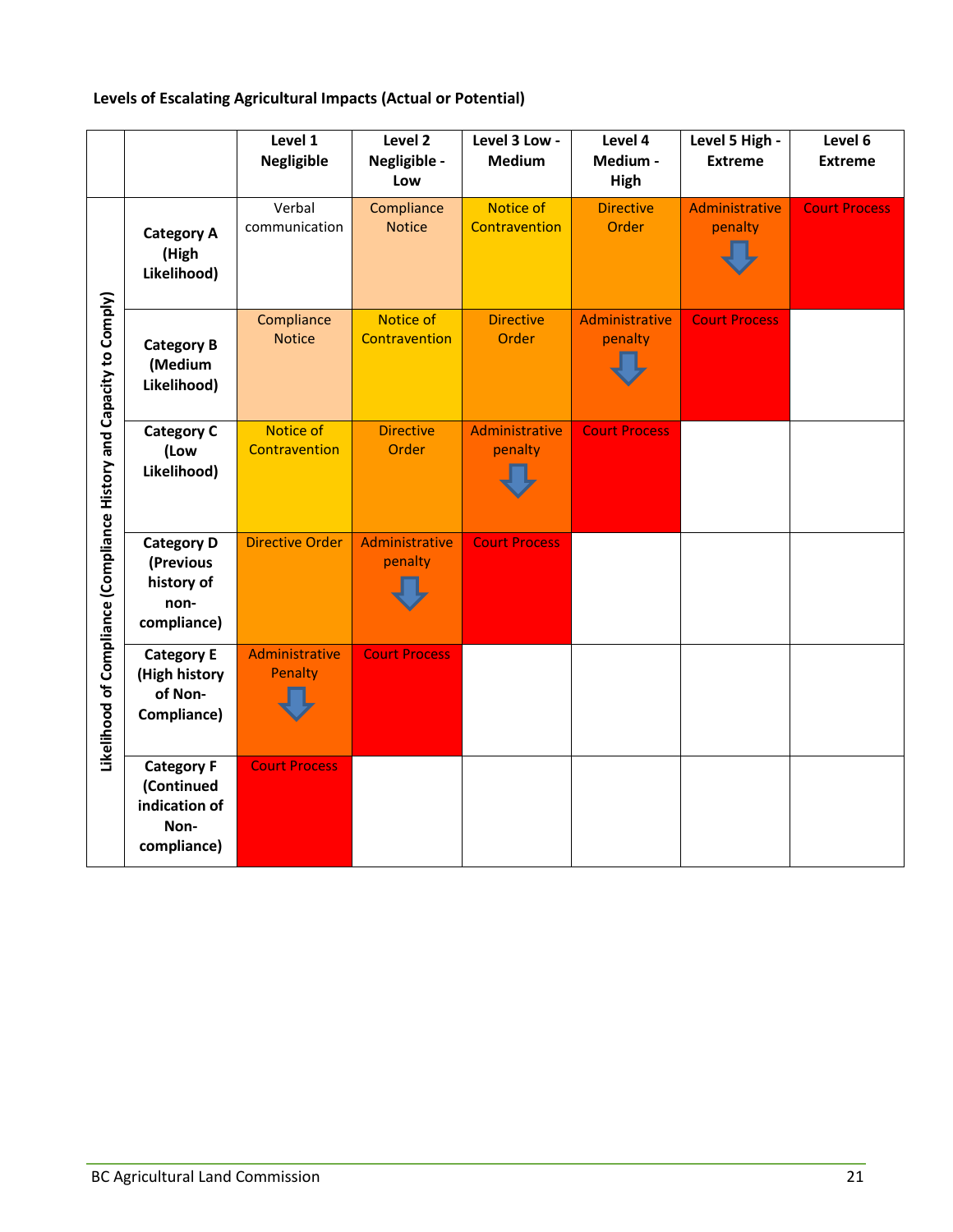## **Levels of Escalating Agricultural Impacts (Actual or Potential)**

|                                                                      |                                                                         | Level 1<br><b>Negligible</b>      | Level 2<br>Negligible -<br>Low    | Level 3 Low -<br><b>Medium</b>    | Level 4<br>Medium -<br>High | Level 5 High -<br><b>Extreme</b> | Level 6<br><b>Extreme</b> |
|----------------------------------------------------------------------|-------------------------------------------------------------------------|-----------------------------------|-----------------------------------|-----------------------------------|-----------------------------|----------------------------------|---------------------------|
|                                                                      | <b>Category A</b><br>(High<br>Likelihood)                               | Verbal<br>communication           | Compliance<br><b>Notice</b>       | <b>Notice of</b><br>Contravention | <b>Directive</b><br>Order   | Administrative<br>penalty        | <b>Court Process</b>      |
|                                                                      | <b>Category B</b><br>(Medium<br>Likelihood)                             | Compliance<br><b>Notice</b>       | <b>Notice of</b><br>Contravention | <b>Directive</b><br>Order         | Administrative<br>penalty   | <b>Court Process</b>             |                           |
| Likelihood of Compliance (Compliance History and Capacity to Comply) | <b>Category C</b><br>(Low<br>Likelihood)                                | <b>Notice of</b><br>Contravention | <b>Directive</b><br>Order         | Administrative<br>penalty         | <b>Court Process</b>        |                                  |                           |
|                                                                      | <b>Category D</b><br>(Previous<br>history of<br>non-<br>compliance)     | <b>Directive Order</b>            | Administrative<br>penalty         | <b>Court Process</b>              |                             |                                  |                           |
|                                                                      | <b>Category E</b><br>(High history<br>of Non-<br>Compliance)            | Administrative<br>Penalty         | <b>Court Process</b>              |                                   |                             |                                  |                           |
|                                                                      | <b>Category F</b><br>(Continued<br>indication of<br>Non-<br>compliance) | <b>Court Process</b>              |                                   |                                   |                             |                                  |                           |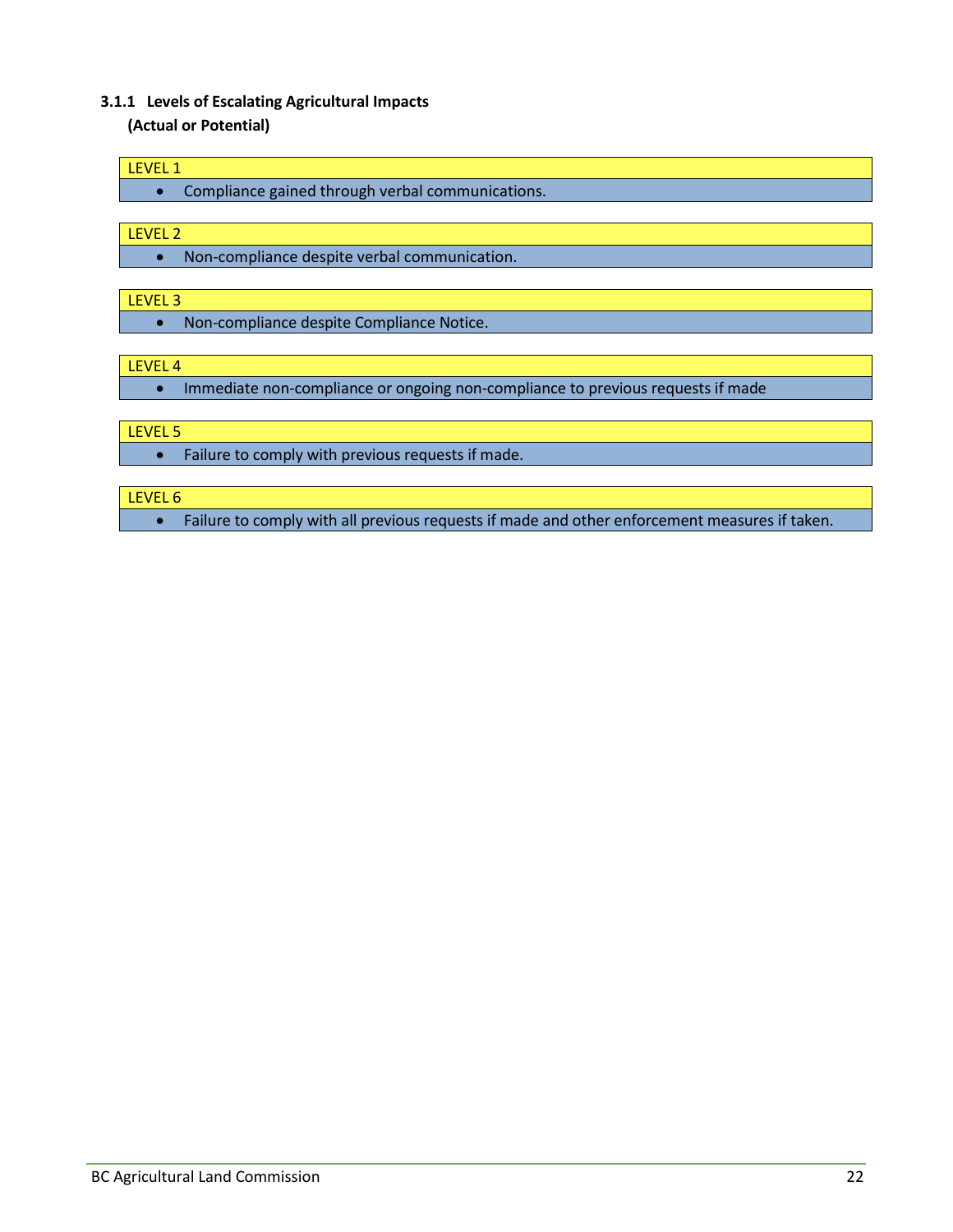#### **3.1.1 Levels of Escalating Agricultural Impacts**

**(Actual or Potential)**

#### LEVEL 1

• Compliance gained through verbal communications.

#### LEVEL 2

• Non-compliance despite verbal communication.

LEVEL 3

• Non-compliance despite Compliance Notice.

LEVEL 4

• Immediate non-compliance or ongoing non-compliance to previous requests if made

#### LEVEL 5

• Failure to comply with previous requests if made.

#### LEVEL 6

• Failure to comply with all previous requests if made and other enforcement measures if taken.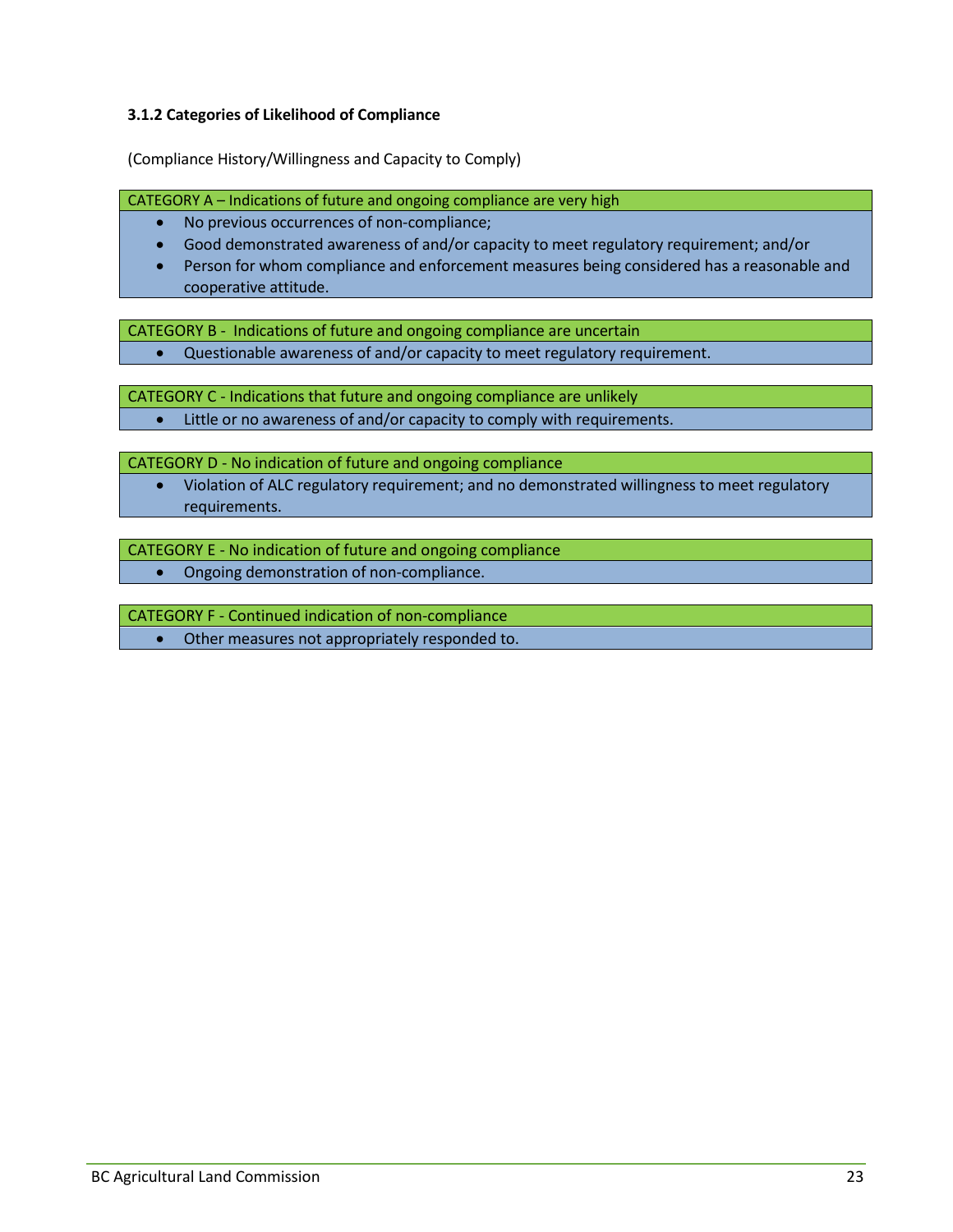#### <span id="page-23-0"></span>**3.1.2 Categories of Likelihood of Compliance**

(Compliance History/Willingness and Capacity to Comply)

CATEGORY A – Indications of future and ongoing compliance are very high

- No previous occurrences of non-compliance;
- Good demonstrated awareness of and/or capacity to meet regulatory requirement; and/or
- Person for whom compliance and enforcement measures being considered has a reasonable and cooperative attitude.

CATEGORY B - Indications of future and ongoing compliance are uncertain

• Questionable awareness of and/or capacity to meet regulatory requirement.

CATEGORY C - Indications that future and ongoing compliance are unlikely

• Little or no awareness of and/or capacity to comply with requirements.

CATEGORY D - No indication of future and ongoing compliance

• Violation of ALC regulatory requirement; and no demonstrated willingness to meet regulatory requirements.

CATEGORY E - No indication of future and ongoing compliance

• Ongoing demonstration of non-compliance.

CATEGORY F - Continued indication of non-compliance

Other measures not appropriately responded to.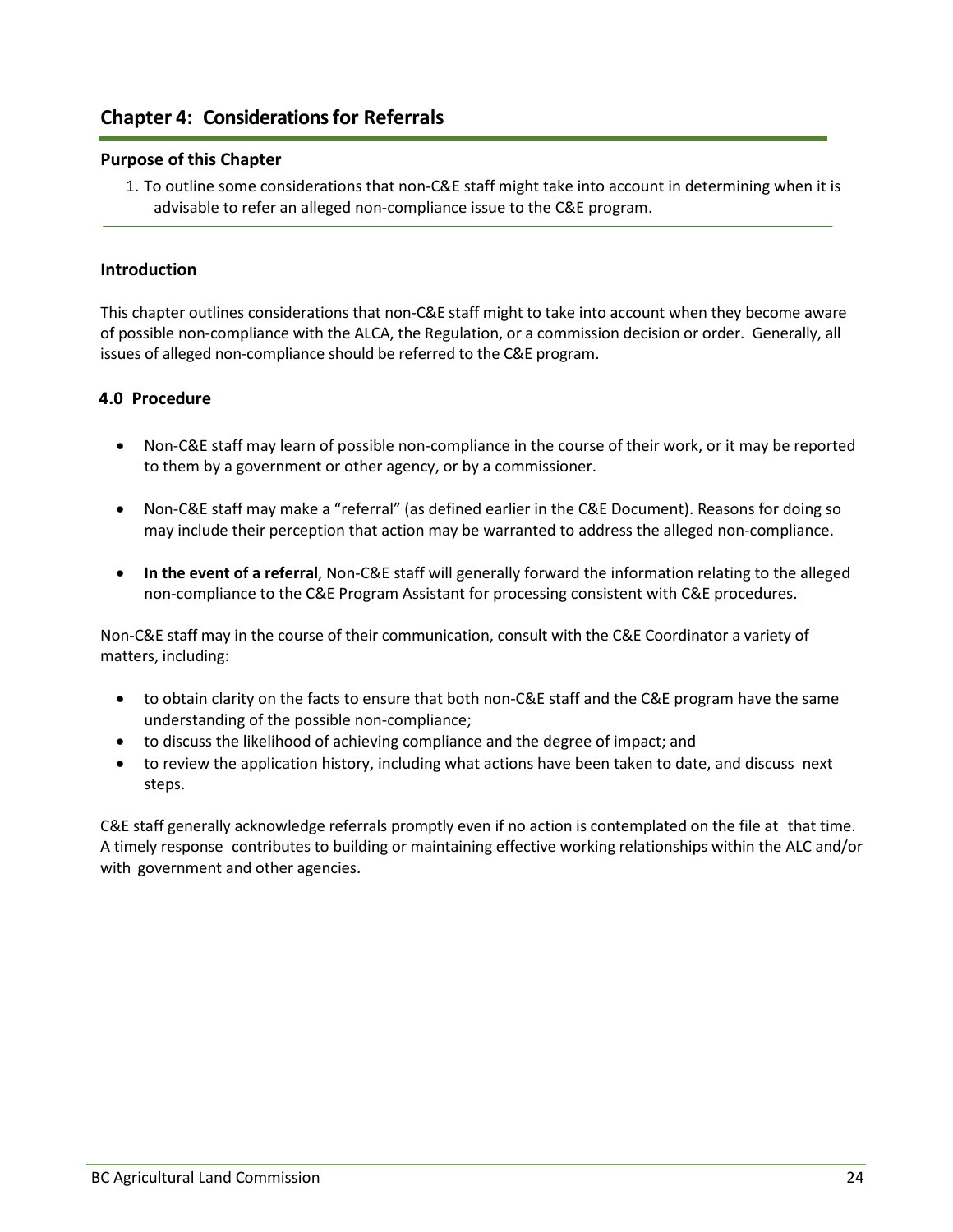## **Chapter 4: Considerations for Referrals**

#### **Purpose of this Chapter**

1. To outline some considerations that non-C&E staff might take into account in determining when it is advisable to refer an alleged non-compliance issue to the C&E program.

#### **Introduction**

This chapter outlines considerations that non-C&E staff might to take into account when they become aware of possible non-compliance with the ALCA, the Regulation, or a commission decision or order. Generally, all issues of alleged non-compliance should be referred to the C&E program.

### **4.0 Procedure**

- Non-C&E staff may learn of possible non-compliance in the course of their work, or it may be reported to them by a government or other agency, or by a commissioner.
- Non-C&E staff may make a "referral" (as defined earlier in the C&E Document). Reasons for doing so may include their perception that action may be warranted to address the alleged non-compliance.
- **In the event of a referral**, Non-C&E staff will generally forward the information relating to the alleged non-compliance to the C&E Program Assistant for processing consistent with C&E procedures.

Non-C&E staff may in the course of their communication, consult with the C&E Coordinator a variety of matters, including:

- to obtain clarity on the facts to ensure that both non-C&E staff and the C&E program have the same understanding of the possible non-compliance;
- to discuss the likelihood of achieving compliance and the degree of impact; and
- to review the application history, including what actions have been taken to date, and discuss next steps.

<span id="page-24-0"></span>C&E staff generally acknowledge referrals promptly even if no action is contemplated on the file at that time. A timely response contributes to building or maintaining effective working relationships within the ALC and/or with government and other agencies.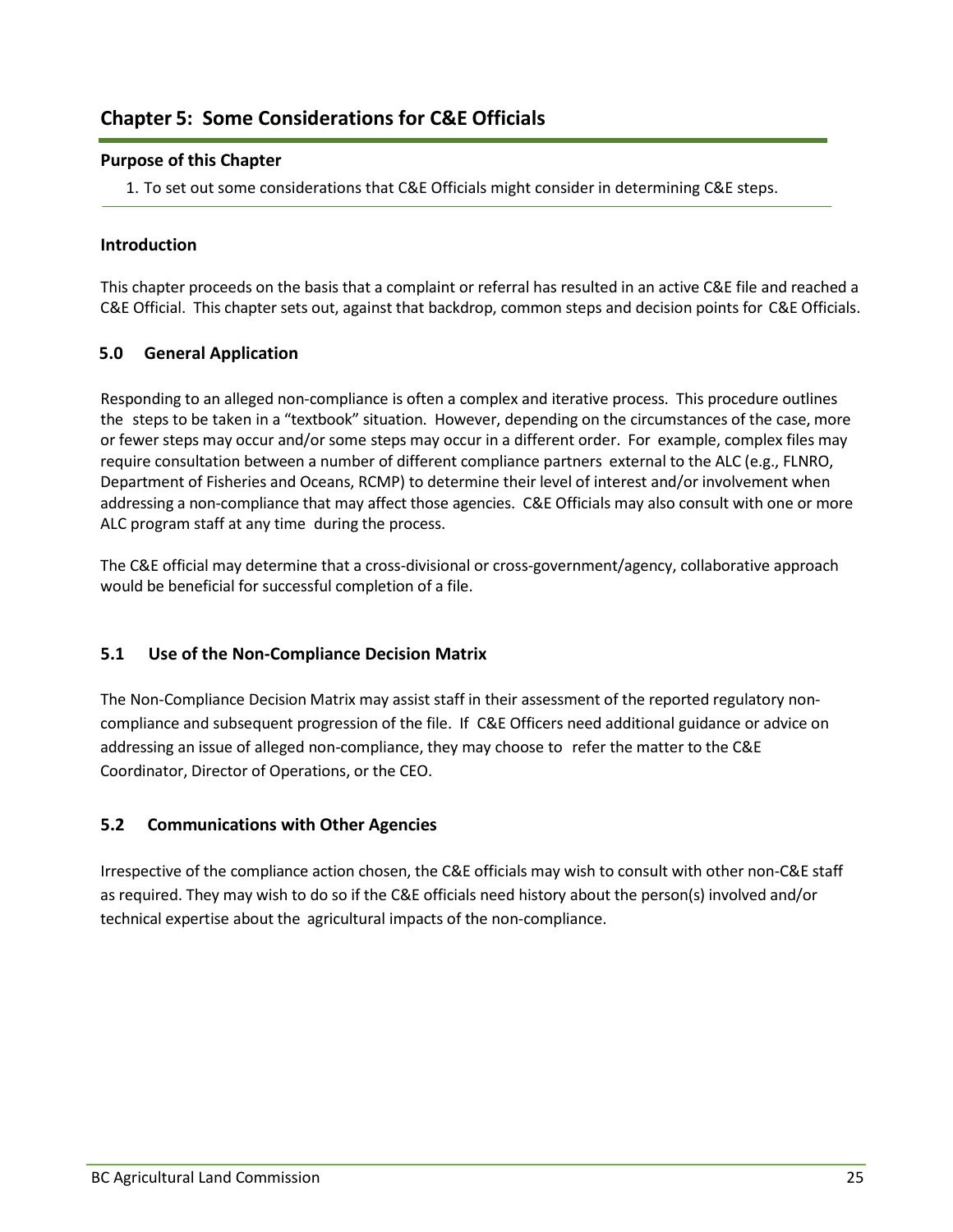## **Chapter 5: Some Considerations for C&E Officials**

### **Purpose of this Chapter**

1. To set out some considerations that C&E Officials might consider in determining C&E steps.

### **Introduction**

This chapter proceeds on the basis that a complaint or referral has resulted in an active C&E file and reached a C&E Official. This chapter sets out, against that backdrop, common steps and decision points for C&E Officials.

### **5.0 General Application**

Responding to an alleged non-compliance is often a complex and iterative process. This procedure outlines the steps to be taken in a "textbook" situation. However, depending on the circumstances of the case, more or fewer steps may occur and/or some steps may occur in a different order. For example, complex files may require consultation between a number of different compliance partners external to the ALC (e.g., FLNRO, Department of Fisheries and Oceans, RCMP) to determine their level of interest and/or involvement when addressing a non-compliance that may affect those agencies. C&E Officials may also consult with one or more ALC program staff at any time during the process.

The C&E official may determine that a cross-divisional or cross-government/agency, collaborative approach would be beneficial for successful completion of a file.

## **5.1 Use of the Non-Compliance Decision Matrix**

The Non-Compliance Decision Matrix may assist staff in their assessment of the reported regulatory noncompliance and subsequent progression of the file. If C&E Officers need additional guidance or advice on addressing an issue of alleged non-compliance, they may choose to refer the matter to the C&E Coordinator, Director of Operations, or the CEO.

## **5.2 Communications with Other Agencies**

Irrespective of the compliance action chosen, the C&E officials may wish to consult with other non-C&E staff as required. They may wish to do so if the C&E officials need history about the person(s) involved and/or technical expertise about the agricultural impacts of the non-compliance.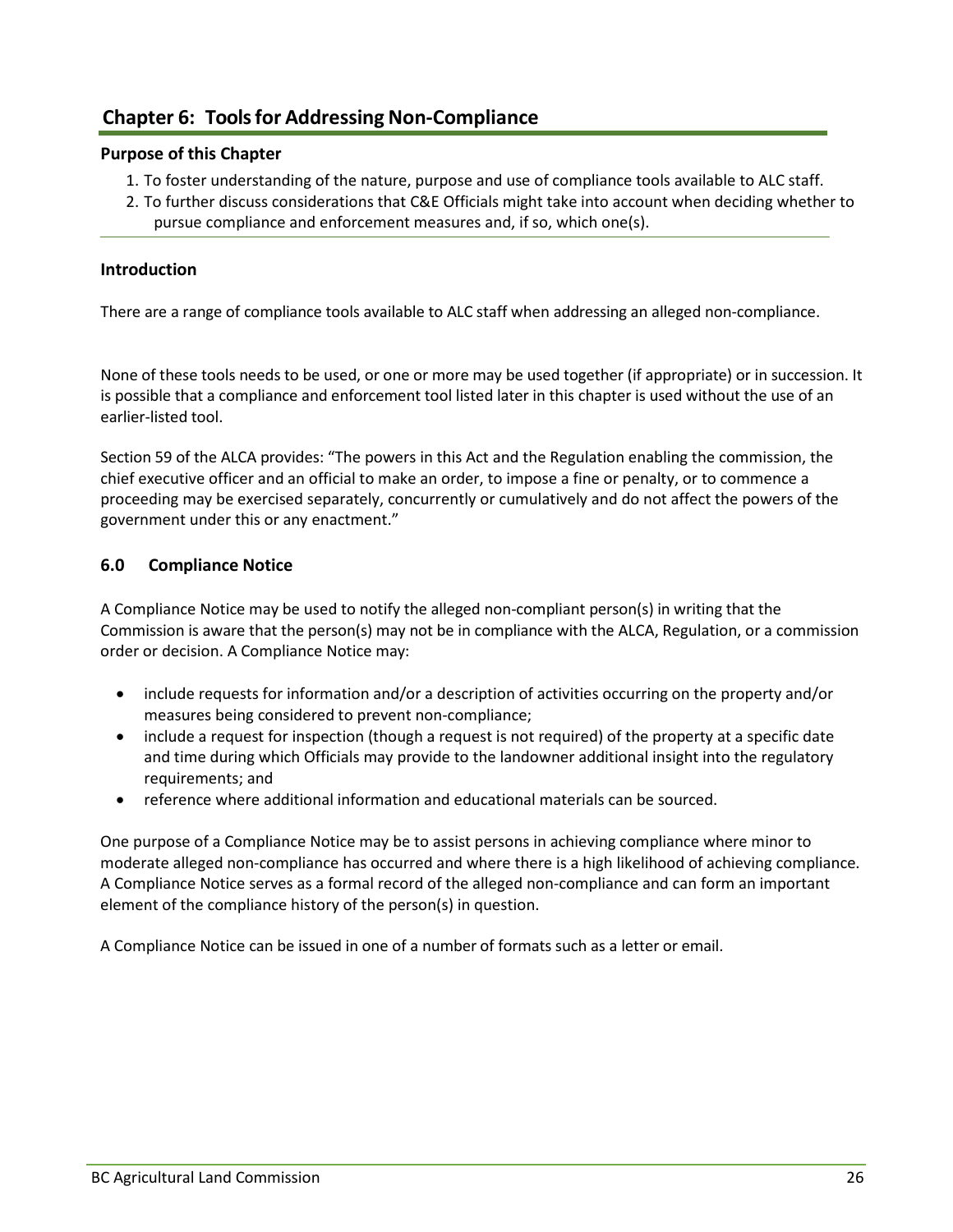## **Chapter 6: Toolsfor Addressing Non-Compliance**

#### **Purpose of this Chapter**

- 1. To foster understanding of the nature, purpose and use of compliance tools available to ALC staff.
- 2. To further discuss considerations that C&E Officials might take into account when deciding whether to pursue compliance and enforcement measures and, if so, which one(s).

### <span id="page-26-0"></span>**Introduction**

There are a range of compliance tools available to ALC staff when addressing an alleged non-compliance.

None of these tools needs to be used, or one or more may be used together (if appropriate) or in succession. It is possible that a compliance and enforcement tool listed later in this chapter is used without the use of an earlier-listed tool.

Section 59 of the ALCA provides: "The powers in this Act and the Regulation enabling the commission, the chief executive officer and an official to make an order, to impose a fine or penalty, or to commence a proceeding may be exercised separately, concurrently or cumulatively and do not affect the powers of the government under this or any enactment."

### **6.0 Compliance Notice**

A Compliance Notice may be used to notify the alleged non-compliant person(s) in writing that the Commission is aware that the person(s) may not be in compliance with the ALCA, Regulation, or a commission order or decision. A Compliance Notice may:

- include requests for information and/or a description of activities occurring on the property and/or measures being considered to prevent non-compliance;
- include a request for inspection (though a request is not required) of the property at a specific date and time during which Officials may provide to the landowner additional insight into the regulatory requirements; and
- reference where additional information and educational materials can be sourced.

One purpose of a Compliance Notice may be to assist persons in achieving compliance where minor to moderate alleged non-compliance has occurred and where there is a high likelihood of achieving compliance. A Compliance Notice serves as a formal record of the alleged non-compliance and can form an important element of the compliance history of the person(s) in question.

A Compliance Notice can be issued in one of a number of formats such as a letter or email.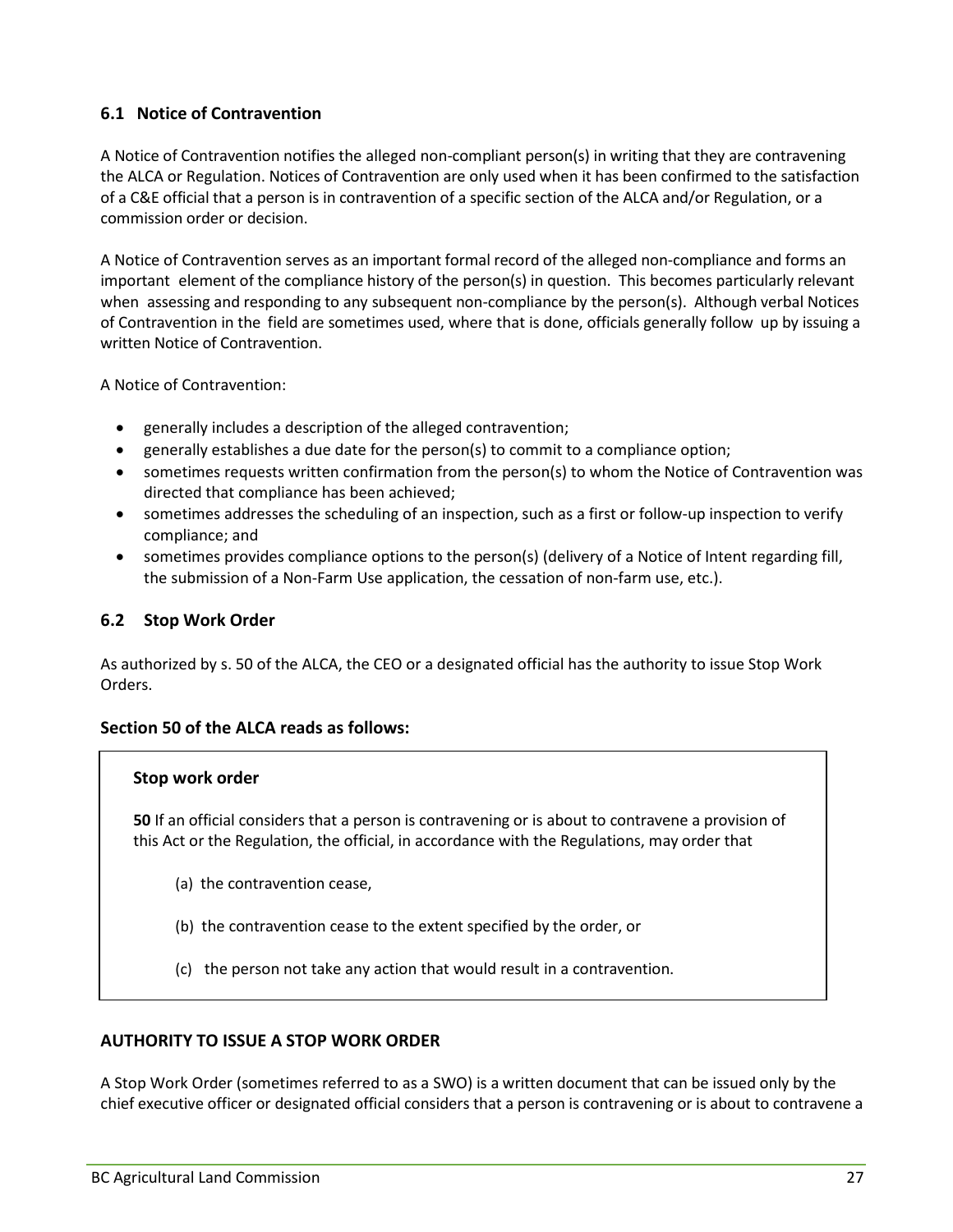### **6.1 Notice of Contravention**

A Notice of Contravention notifies the alleged non-compliant person(s) in writing that they are contravening the ALCA or Regulation. Notices of Contravention are only used when it has been confirmed to the satisfaction of a C&E official that a person is in contravention of a specific section of the ALCA and/or Regulation, or a commission order or decision.

A Notice of Contravention serves as an important formal record of the alleged non-compliance and forms an important element of the compliance history of the person(s) in question. This becomes particularly relevant when assessing and responding to any subsequent non-compliance by the person(s). Although verbal Notices of Contravention in the field are sometimes used, where that is done, officials generally follow up by issuing a written Notice of Contravention.

A Notice of Contravention:

- generally includes a description of the alleged contravention;
- generally establishes a due date for the person(s) to commit to a compliance option;
- sometimes requests written confirmation from the person(s) to whom the Notice of Contravention was directed that compliance has been achieved;
- sometimes addresses the scheduling of an inspection, such as a first or follow-up inspection to verify compliance; and
- sometimes provides compliance options to the person(s) (delivery of a Notice of Intent regarding fill, the submission of a Non-Farm Use application, the cessation of non-farm use, etc.).

#### **6.2 Stop Work Order**

As authorized by s. 50 of the ALCA, the CEO or a designated official has the authority to issue Stop Work Orders.

#### **Section 50 of the ALCA reads as follows:**

#### **Stop work order**

**50** If an official considers that a person is contravening or is about to contravene a provision of this Act or the Regulation, the official, in accordance with the Regulations, may order that

- (a) the contravention cease,
- (b) the contravention cease to the extent specified by the order, or
- (c) the person not take any action that would result in a contravention.

#### **AUTHORITY TO ISSUE A STOP WORK ORDER**

A Stop Work Order (sometimes referred to as a SWO) is a written document that can be issued only by the chief executive officer or designated official considers that a person is contravening or is about to contravene a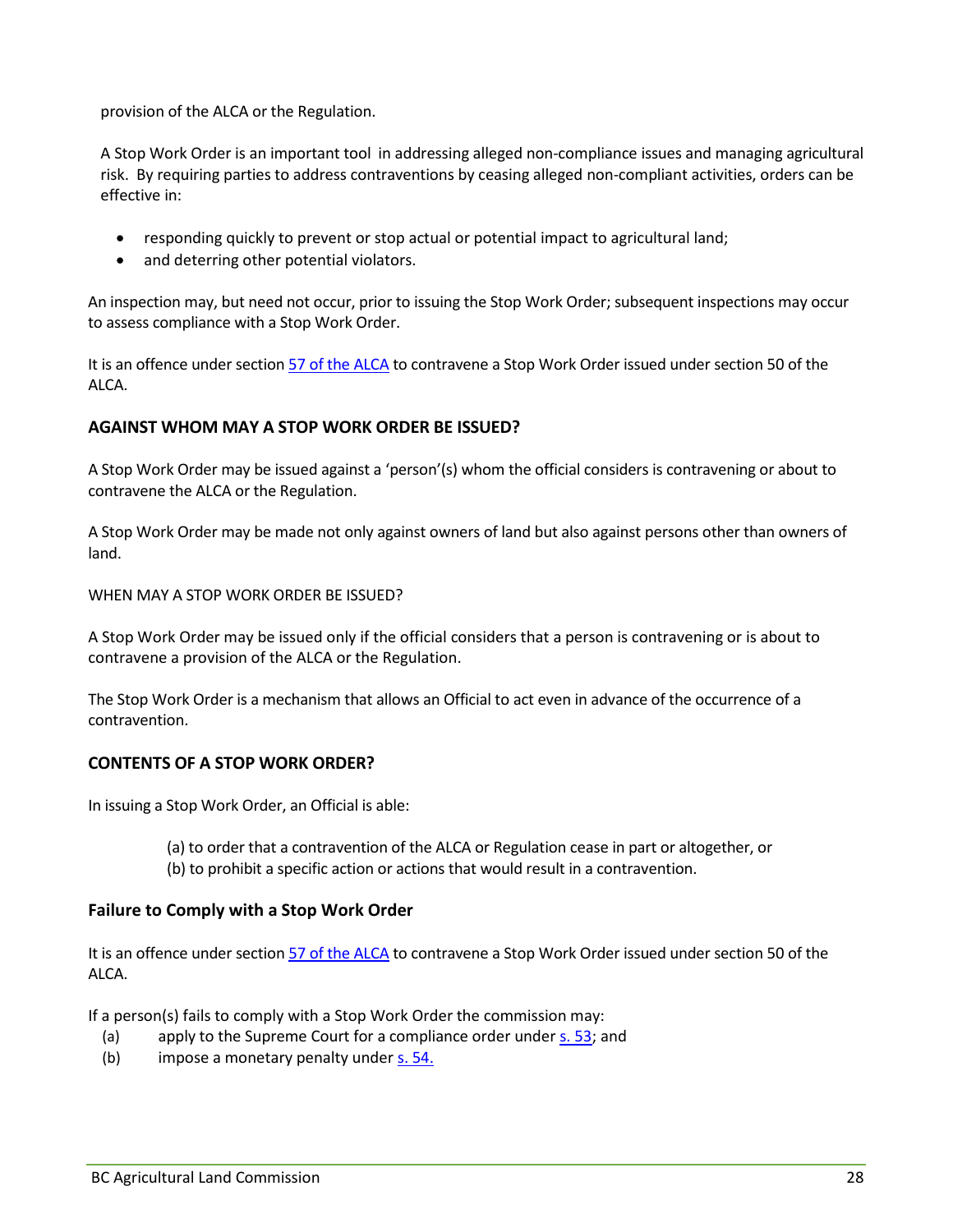provision of the ALCA or the Regulation.

A Stop Work Order is an important tool in addressing alleged non-compliance issues and managing agricultural risk. By requiring parties to address contraventions by ceasing alleged non-compliant activities, orders can be effective in:

- responding quickly to prevent or stop actual or potential impact to agricultural land;
- and deterring other potential violators.

An inspection may, but need not occur, prior to issuing the Stop Work Order; subsequent inspections may occur to assess compliance with a Stop Work Order.

It is an offence under sectio[n 57 of the ALCA](http://www.bclaws.ca/civix/document/id/complete/statreg/02036_01#section57) to contravene a Stop Work Order issued under section 50 of the ALCA.

### **AGAINST WHOM MAY A STOP WORK ORDER BE ISSUED?**

A Stop Work Order may be issued against a 'person'(s) whom the official considers is contravening or about to contravene the ALCA or the Regulation.

A Stop Work Order may be made not only against owners of land but also against persons other than owners of land.

WHEN MAY A STOP WORK ORDER BE ISSUED?

A Stop Work Order may be issued only if the official considers that a person is contravening or is about to contravene a provision of the ALCA or the Regulation.

The Stop Work Order is a mechanism that allows an Official to act even in advance of the occurrence of a contravention.

#### **CONTENTS OF A STOP WORK ORDER?**

In issuing a Stop Work Order, an Official is able:

(a) to order that a contravention of the ALCA or Regulation cease in part or altogether, or (b) to prohibit a specific action or actions that would result in a contravention.

#### **Failure to Comply with a Stop Work Order**

It is an offence under section  $57$  of the ALCA to contravene a Stop Work Order issued under section 50 of the ALCA.

If a person(s) fails to comply with a Stop Work Order the commission may:

- (a) apply to the Supreme Court for a compliance order under [s. 53;](http://www.bclaws.ca/civix/document/id/complete/statreg/02036_01#section53) and
- (b) impose a monetary penalty under [s. 54.](http://www.bclaws.ca/civix/document/id/complete/statreg/02036_01#section54)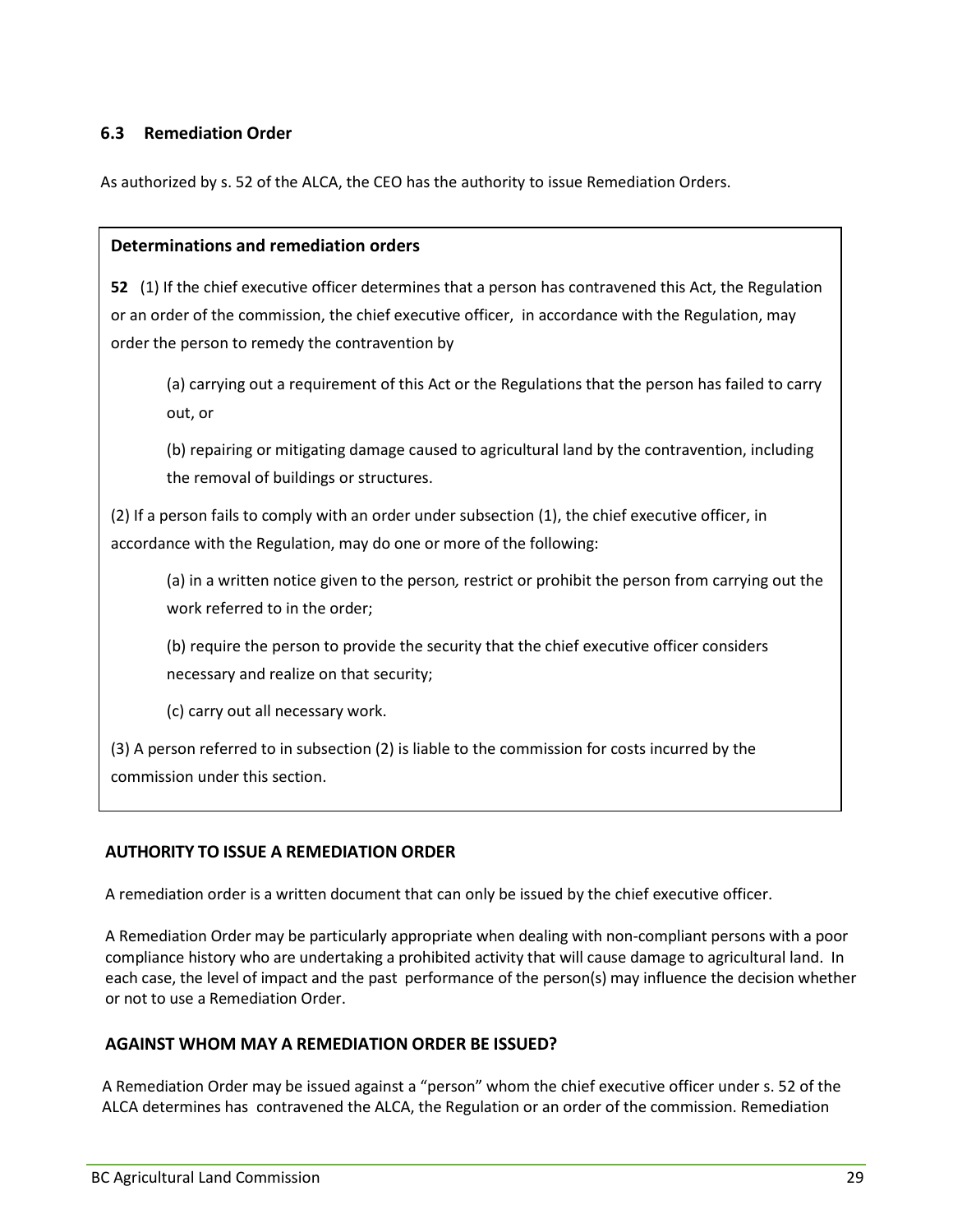## **6.3 Remediation Order**

As authorized by s. 52 of the [ALCA,](http://www.bclaws.ca/civix/document/id/complete/statreg/02036_01#section52) the CEO has the authority to issue Remediation Orders.

#### **Determinations and remediation orders**

**52** (1) If the chief executive officer determines that a person has contravened this Act, the Regulation or an order of the commission, the chief executive officer, in accordance with the Regulation, may order the person to remedy the contravention by

(a) carrying out a requirement of this Act or the Regulations that the person has failed to carry out, or

(b) repairing or mitigating damage caused to agricultural land by the contravention, including the removal of buildings or structures.

(2) If a person fails to comply with an order under subsection (1), the chief executive officer, in accordance with the Regulation, may do one or more of the following:

(a) in a written notice given to the person*,* restrict or prohibit the person from carrying out the work referred to in the order;

(b) require the person to provide the security that the chief executive officer considers necessary and realize on that security;

(c) carry out all necessary work.

(3) A person referred to in subsection (2) is liable to the commission for costs incurred by the commission under this section.

## **AUTHORITY TO ISSUE A REMEDIATION ORDER**

A remediation order is a written document that can only be issued by the chief executive officer.

A Remediation Order may be particularly appropriate when dealing with non-compliant persons with a poor compliance history who are undertaking a prohibited activity that will cause damage to agricultural land. In each case, the level of impact and the past performance of the person(s) may influence the decision whether or not to use a Remediation Order.

#### **AGAINST WHOM MAY A REMEDIATION ORDER BE ISSUED?**

A Remediation Order may be issued against a "person" whom the chief executive officer under s. 52 of the ALCA determines has contravened the ALCA, the Regulation or an order of the commission. Remediation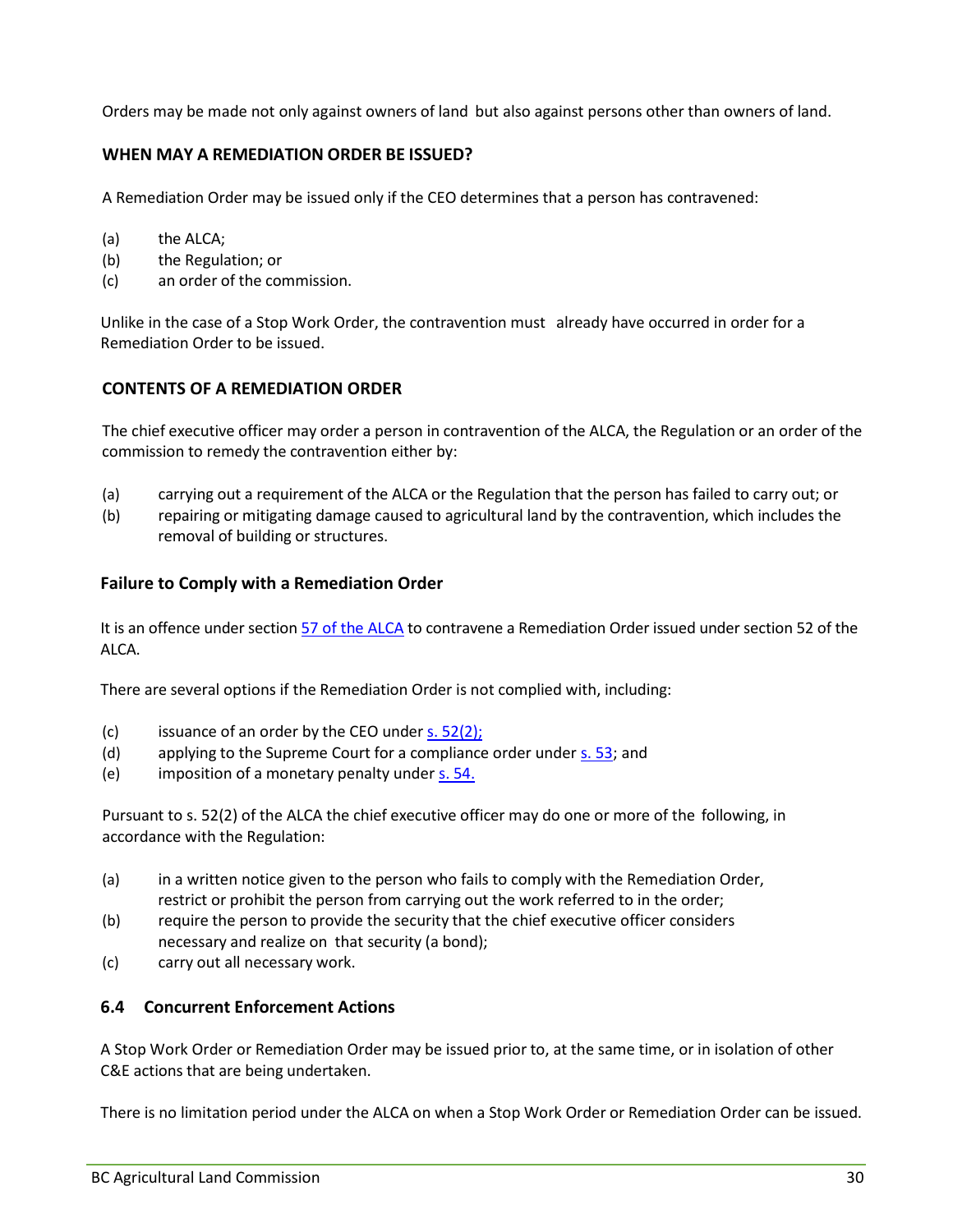Orders may be made not only against owners of land but also against persons other than owners of land.

#### **WHEN MAY A REMEDIATION ORDER BE ISSUED?**

A Remediation Order may be issued only if the CEO determines that a person has contravened:

- (a) the ALCA;
- (b) the Regulation; or
- (c) an order of the commission.

Unlike in the case of a Stop Work Order, the contravention must already have occurred in order for a Remediation Order to be issued.

### **CONTENTS OF A REMEDIATION ORDER**

The chief executive officer may order a person in contravention of the ALCA, the Regulation or an order of the commission to remedy the contravention either by:

- (a) carrying out a requirement of the ALCA or the Regulation that the person has failed to carry out; or
- (b) repairing or mitigating damage caused to agricultural land by the contravention, which includes the removal of building or structures.

#### **Failure to Comply with a Remediation Order**

It is an offence under sectio[n 57 of the ALCA](http://www.bclaws.ca/civix/document/id/complete/statreg/02036_01#section57) to contravene a Remediation Order issued under section 52 of the ALCA.

There are several options if the Remediation Order is not complied with, including:

- (c) issuance of an order by the CEO under  $s. 52(2)$ ;
- (d) applying to the Supreme Court for a compliance order under  $s. 53$ ; and
- (e) imposition of a monetary penalty under  $s. 54$ .

Pursuant to s. 52(2) of the ALCA the chief executive officer may do one or more of the following, in accordance with the Regulation:

- (a) in a written notice given to the person who fails to comply with the Remediation Order, restrict or prohibit the person from carrying out the work referred to in the order;
- (b) require the person to provide the security that the chief executive officer considers necessary and realize on that security (a bond);
- (c) carry out all necessary work.

#### **6.4 Concurrent Enforcement Actions**

A Stop Work Order or Remediation Order may be issued prior to, at the same time, or in isolation of other C&E actions that are being undertaken.

There is no limitation period under the ALCA on when a Stop Work Order or Remediation Order can be issued.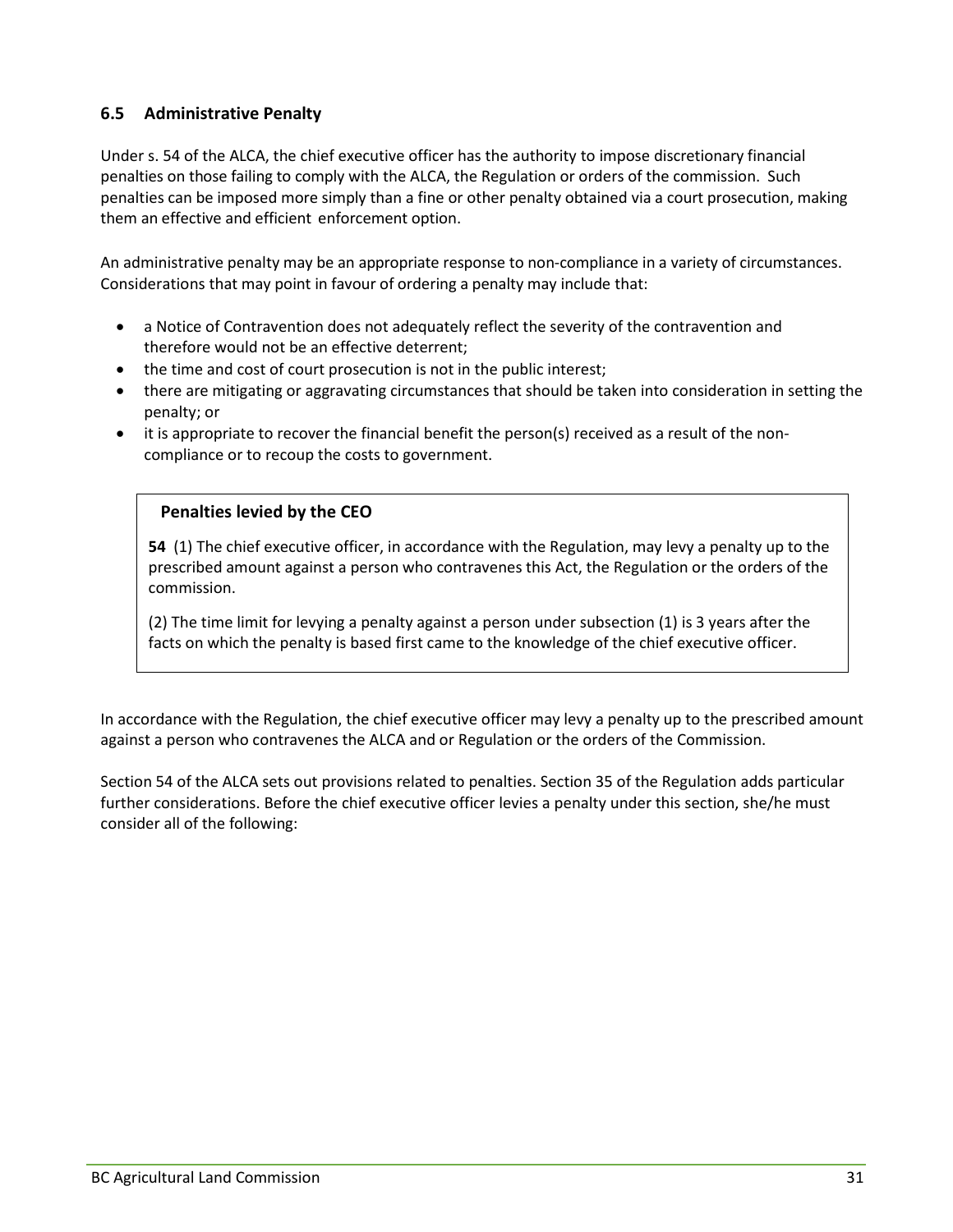## **6.5 Administrative Penalty**

Under s. 54 of the ALCA, the chief executive officer has the authority to impose discretionary financial penalties on those failing to comply with the ALCA, the Regulation or orders of the commission. Such penalties can be imposed more simply than a fine or other penalty obtained via a court prosecution, making them an effective and efficient enforcement option.

An administrative penalty may be an appropriate response to non-compliance in a variety of circumstances. Considerations that may point in favour of ordering a penalty may include that:

- a Notice of Contravention does not adequately reflect the severity of the contravention and therefore would not be an effective deterrent;
- the time and cost of court prosecution is not in the public interest;
- there are mitigating or aggravating circumstances that should be taken into consideration in setting the penalty; or
- it is appropriate to recover the financial benefit the person(s) received as a result of the noncompliance or to recoup the costs to government.

## **Penalties levied by the CEO**

**54** (1) The chief executive officer, in accordance with the Regulation, may levy a penalty up to the prescribed amount against a person who contravenes this Act, the Regulation or the orders of the commission.

(2) The time limit for levying a penalty against a person under subsection (1) is 3 years after the facts on which the penalty is based first came to the knowledge of the chief executive officer.

In accordance with the Regulation, the chief executive officer may levy a penalty up to the prescribed amount against a person who contravenes the ALCA and or Regulation or the orders of the Commission.

Section 54 of the ALCA sets out provisions related to penalties. Section 35 of the Regulation adds particular further considerations. Before the chief executive officer levies a penalty under this section, she/he must consider all of the following: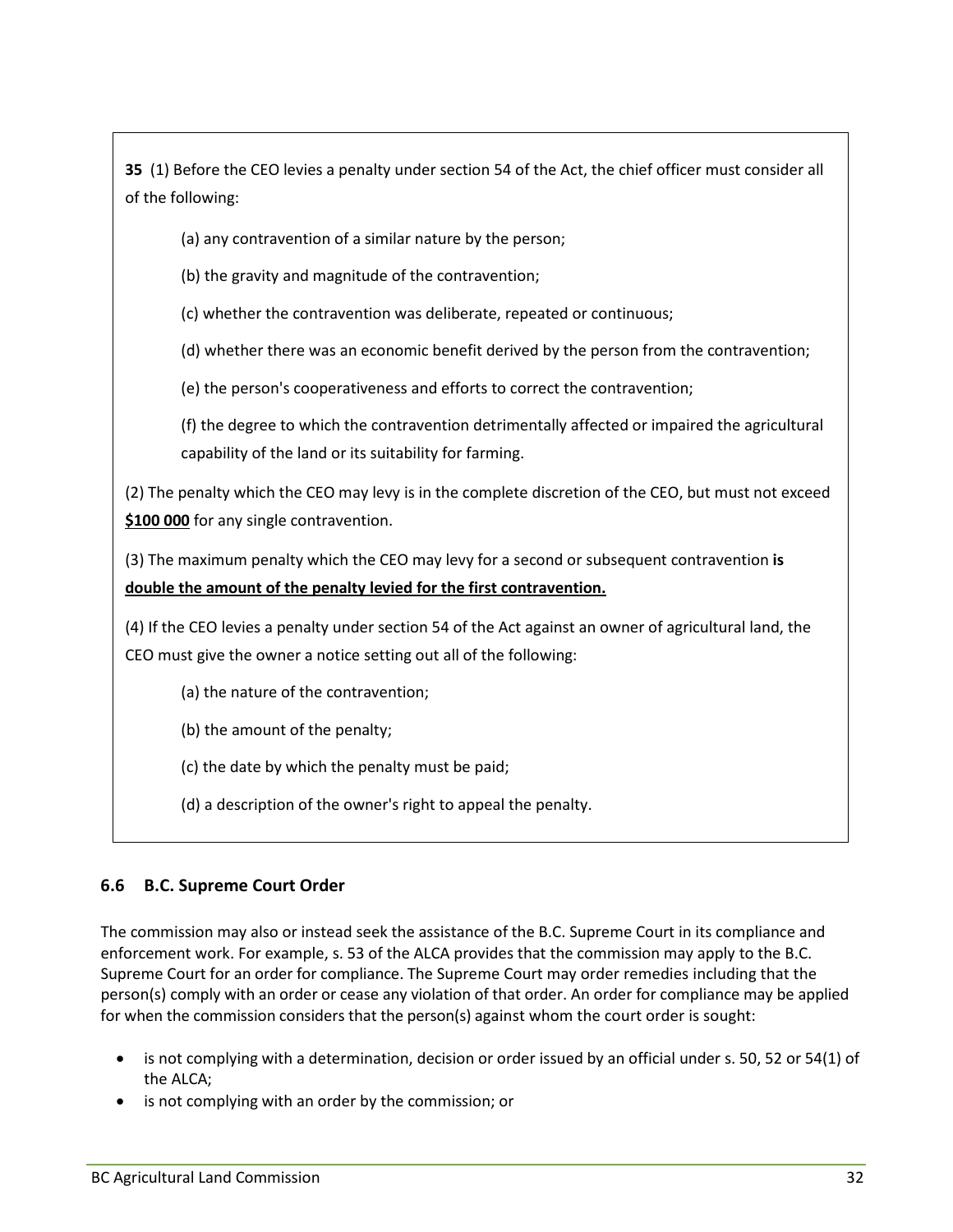| UI LIIE IUIIUWIIIK.                                                                                                                                                          |
|------------------------------------------------------------------------------------------------------------------------------------------------------------------------------|
| (a) any contravention of a similar nature by the person;                                                                                                                     |
| (b) the gravity and magnitude of the contravention;                                                                                                                          |
| (c) whether the contravention was deliberate, repeated or continuous;                                                                                                        |
| (d) whether there was an economic benefit derived by the person from the contravention;                                                                                      |
| (e) the person's cooperativeness and efforts to correct the contravention;                                                                                                   |
| (f) the degree to which the contravention detrimentally affected or impaired the agricultural<br>capability of the land or its suitability for farming.                      |
| (2) The penalty which the CEO may levy is in the complete discretion of the CEO, but must not exceed<br>\$100 000 for any single contravention.                              |
| (3) The maximum penalty which the CEO may levy for a second or subsequent contravention is<br>double the amount of the penalty levied for the first contravention.           |
| (4) If the CEO levies a penalty under section 54 of the Act against an owner of agricultural land, the<br>CEO must give the owner a notice setting out all of the following: |
| (a) the nature of the contravention;                                                                                                                                         |
| (b) the amount of the penalty;                                                                                                                                               |
| (c) the date by which the penalty must be paid;                                                                                                                              |
| (d) a description of the owner's right to appeal the penalty.                                                                                                                |

**35** (1) Before the CEO levies a penalty under section 54 of the Act, the chief officer must consider all

## **6.6 B.C. Supreme Court Order**

of the following:

The commission may also or instead seek the assistance of the B.C. Supreme Court in its compliance and enforcement work. For example, s. 53 of the ALCA provides that the commission may apply to the B.C. Supreme Court for an order for compliance. The Supreme Court may order remedies including that the person(s) comply with an order or cease any violation of that order. An order for compliance may be applied for when the commission considers that the person(s) against whom the court order is sought:

- is not complying with a determination, decision or order issued by an official under s. 50, 52 or 54(1) of the ALCA;
- is not complying with an order by the commission; or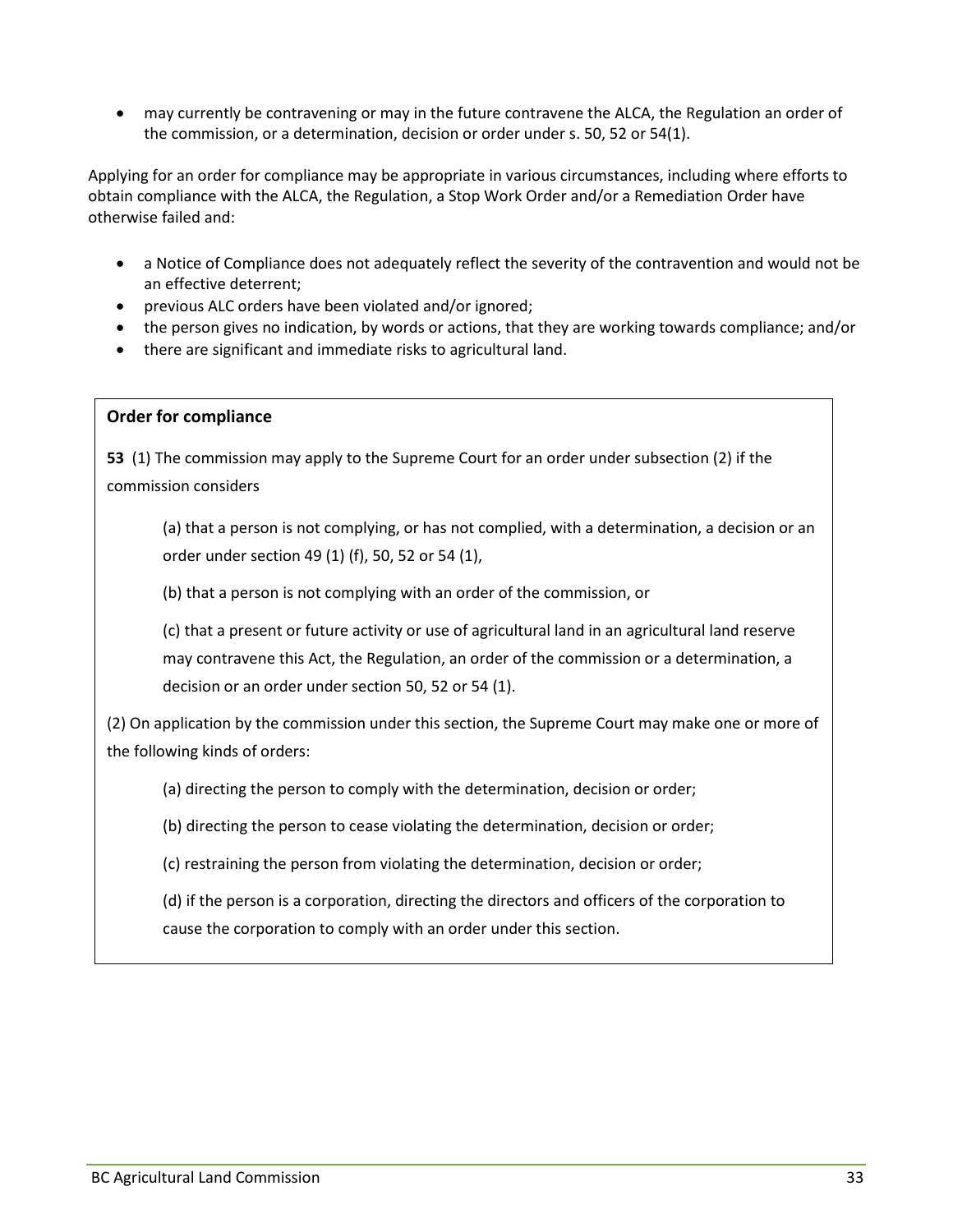• may currently be contravening or may in the future contravene the ALCA, the Regulation an order of the commission, or a determination, decision or order under s. 50, 52 or 54(1).

Applying for an order for compliance may be appropriate in various circumstances, including where efforts to obtain compliance with the ALCA, the Regulation, a Stop Work Order and/or a Remediation Order have otherwise failed and:

- a Notice of Compliance does not adequately reflect the severity of the contravention and would not be an effective deterrent;
- previous ALC orders have been violated and/or ignored;
- the person gives no indication, by words or actions, that they are working towards compliance; and/or
- there are significant and immediate risks to agricultural land.

#### **Order for compliance**

**53** (1) The commission may apply to the Supreme Court for an order under subsection (2) if the commission considers

(a) that a person is not complying, or has not complied, with a determination, a decision or an order under section 49 (1) (f), 50, 52 or 54 (1),

(b) that a person is not complying with an order of the commission, or

(c) that a present or future activity or use of agricultural land in an agricultural land reserve may contravene this Act, the Regulation, an order of the commission or a determination, a decision or an order under section 50, 52 or 54 (1).

(2) On application by the commission under this section, the Supreme Court may make one or more of the following kinds of orders:

(a) directing the person to comply with the determination, decision or order;

(b) directing the person to cease violating the determination, decision or order;

(c) restraining the person from violating the determination, decision or order;

(d) if the person is a corporation, directing the directors and officers of the corporation to cause the corporation to comply with an order under this section.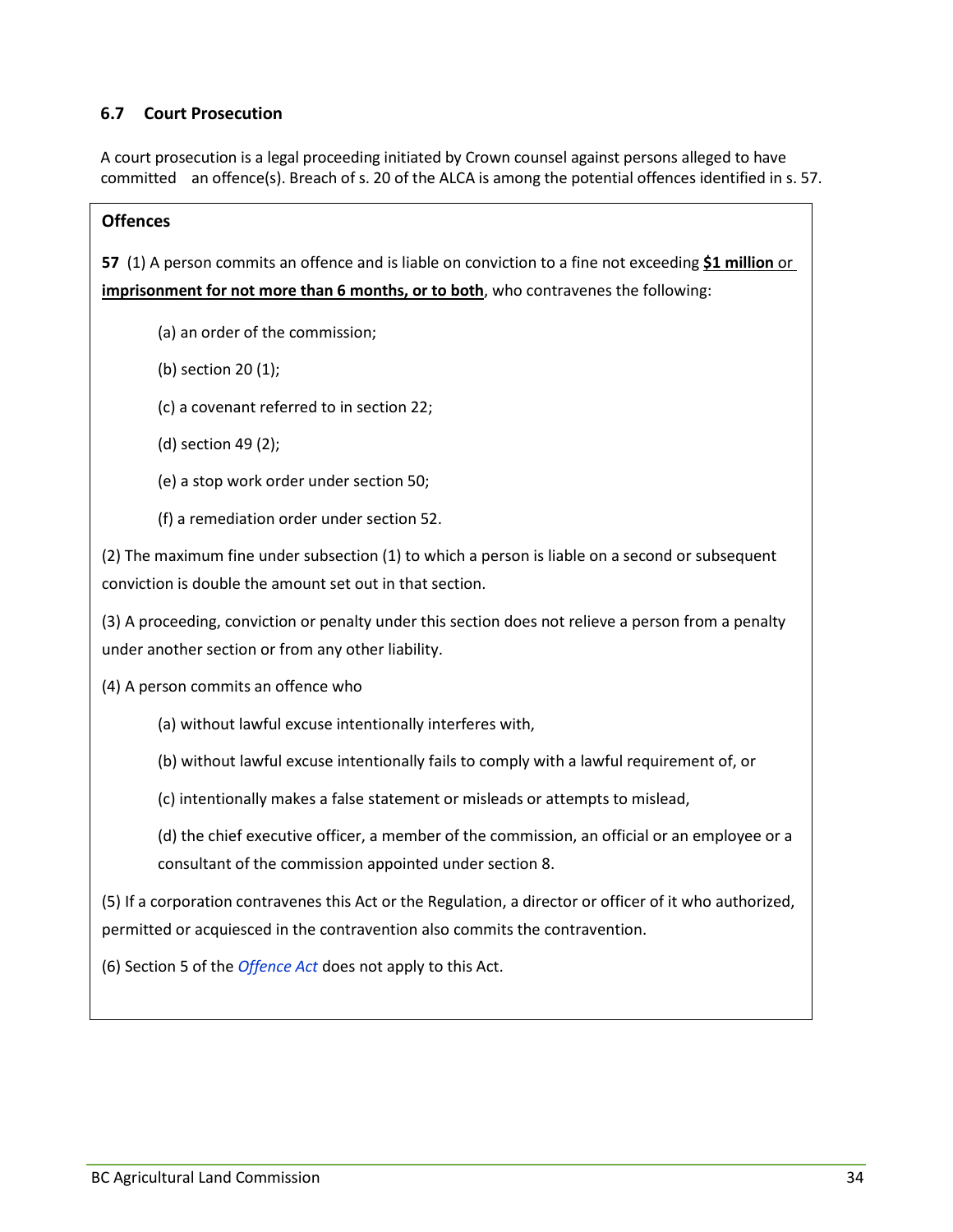## **6.7 Court Prosecution**

A court prosecution is a legal proceeding initiated by Crown counsel against persons alleged to have committed an offence(s). Breach of s. 20 of the ALCA is among the potential offences identified in s. 57.

### **Offences**

**57** (1) A person commits an offence and is liable on conviction to a fine not exceeding **\$1 million** or **imprisonment for not more than 6 months, or to both**, who contravenes the following:

- (a) an order of the commission;
- (b) section 20 (1);
- (c) a covenant referred to in section 22;
- (d) section 49 (2);
- (e) a stop work order under section 50;
- (f) a remediation order under section 52.

(2) The maximum fine under subsection (1) to which a person is liable on a second or subsequent conviction is double the amount set out in that section.

(3) A proceeding, conviction or penalty under this section does not relieve a person from a penalty under another section or from any other liability.

(4) A person commits an offence who

- (a) without lawful excuse intentionally interferes with,
- (b) without lawful excuse intentionally fails to comply with a lawful requirement of, or
- (c) intentionally makes a false statement or misleads or attempts to mislead,
- (d) the chief executive officer, a member of the commission, an official or an employee or a consultant of the commission appointed under section 8.

(5) If a corporation contravenes this Act or the Regulation, a director or officer of it who authorized, permitted or acquiesced in the contravention also commits the contravention.

(6) Section 5 of the *[Offence Act](http://www.bclaws.ca/civix/document/id/complete/statreg/96338_01)* does not apply to this Act.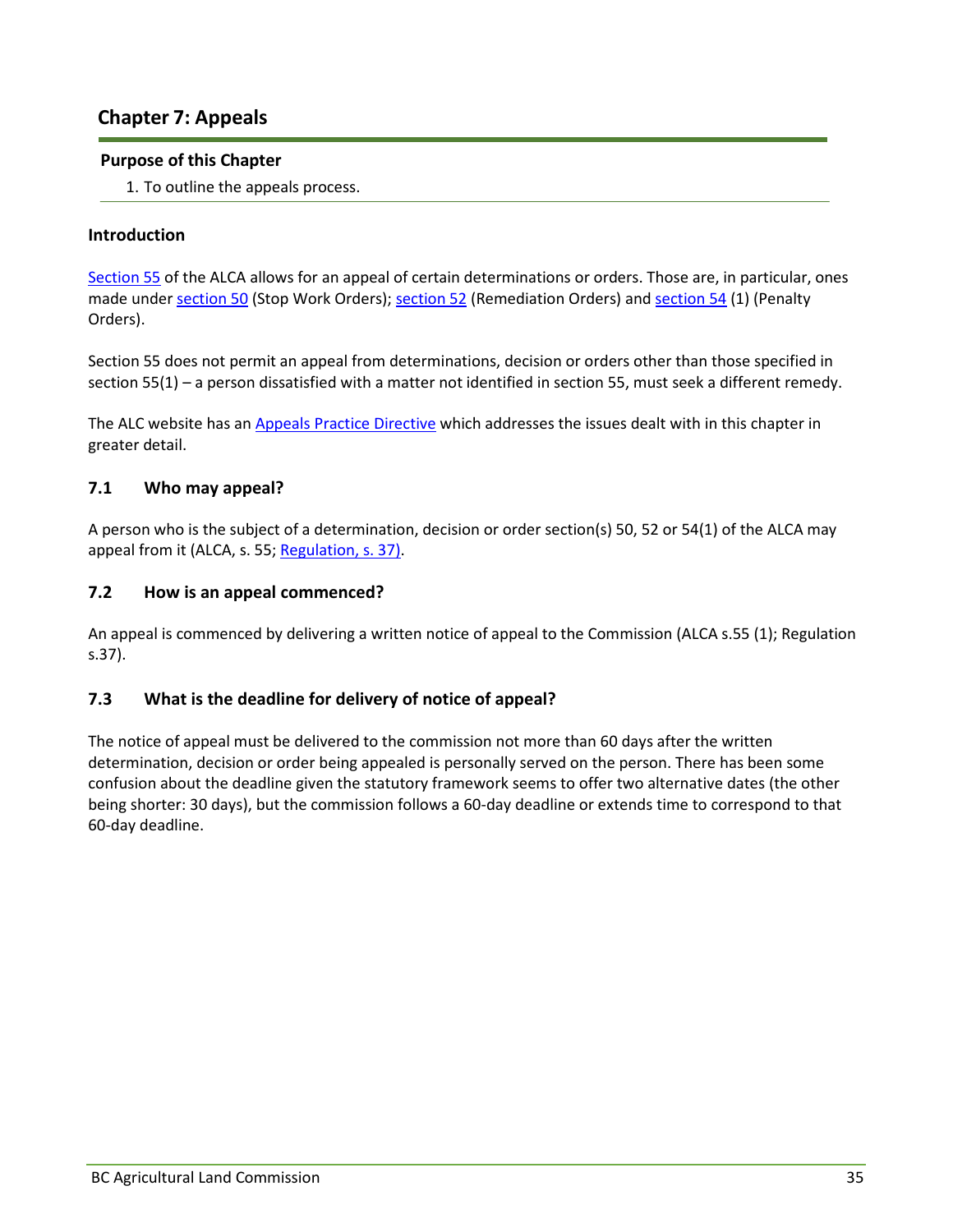## **Chapter 7: Appeals**

#### **Purpose of this Chapter**

1. To outline the appeals process.

#### **Introduction**

[Section 55](http://www.bclaws.ca/civix/document/id/complete/statreg/02036_01#section55) of the ALCA allows for an appeal of certain determinations or orders. Those are, in particular, ones made unde[r section 50](http://www.bclaws.ca/civix/document/id/complete/statreg/02036_01#section50) (Stop Work Orders); [section 52](http://www.bclaws.ca/civix/document/id/complete/statreg/02036_01#section52) (Remediation Orders) and [section 54](http://www.bclaws.ca/civix/document/id/complete/statreg/02036_01#section54) (1) (Penalty Orders).

Section 55 does not permit an appeal from determinations, decision or orders other than those specified in section 55(1) – a person dissatisfied with a matter not identified in section 55, must seek a different remedy.

The ALC website has an [Appeals Practice Directive](http://www.alc.gov.bc.ca/assets/alc/assets/legislation-and-regulation/policies/alc_-_policy_pd-01_practice_directive_re_appeals_under_section_55.pdf) which addresses the issues dealt with in this chapter in greater detail.

#### **7.1 Who may appeal?**

A person who is the subject of a determination, decision or order section(s) 50, 52 or 54(1) of the ALCA may appeal from it (ALCA, s. 55; [Regulation, s. 37\).](http://www.bclaws.ca/civix/document/id/complete/statreg/171_2002#section37)

#### **7.2 How is an appeal commenced?**

An appeal is commenced by delivering a written notice of appeal to the Commission (ALCA s.55 (1); Regulation s.37).

#### **7.3 What is the deadline for delivery of notice of appeal?**

The notice of appeal must be delivered to the commission not more than 60 days after the written determination, decision or order being appealed is personally served on the person. There has been some confusion about the deadline given the statutory framework seems to offer two alternative dates (the other being shorter: 30 days), but the commission follows a 60-day deadline or extends time to correspond to that 60-day deadline.